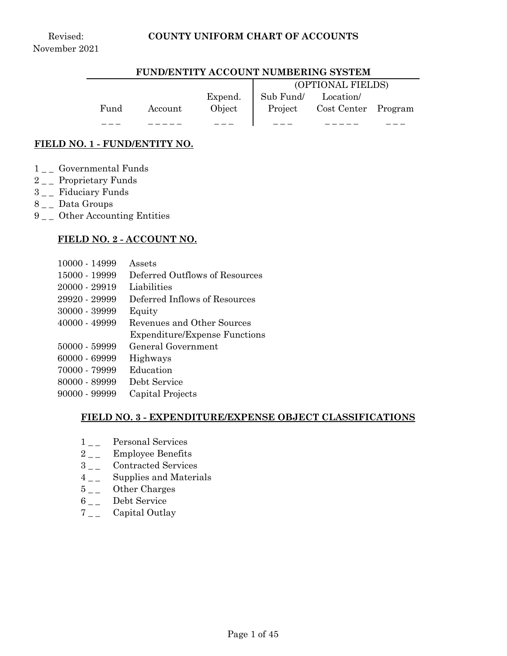#### **FUND/ENTITY ACCOUNT NUMBERING SYSTEM**

|      |         |         |                     | (OPTIONAL FIELDS)           |  |
|------|---------|---------|---------------------|-----------------------------|--|
|      |         | Expend. | Sub Fund/ Location/ |                             |  |
| Fund | Account | Object  |                     | Project Cost Center Program |  |
|      |         |         |                     |                             |  |

#### **FIELD NO. 1 - FUND/ENTITY NO.**

- $1\_\_$  Governmental Funds
- 2<sub>-</sub> Proprietary Funds
- 3<sub>\_\_</sub> Fiduciary Funds
- 8<sub>--</sub> Data Groups
- 9 Other Accounting Entities

#### **FIELD NO. 2 - ACCOUNT NO.**

- 10000 14999 Assets
- 15000 19999 Deferred Outflows of Resources
- 20000 29919 Liabilities
- 29920 29999 Deferred Inflows of Resources
- 30000 39999 Equity
- 40000 49999 Revenues and Other Sources
	- Expenditure/Expense Functions
- 50000 59999 General Government
- 60000 69999 Highways
- 70000 79999 Education
- 80000 89999 Debt Service
- 90000 99999 Capital Projects

#### **FIELD NO. 3 - EXPENDITURE/EXPENSE OBJECT CLASSIFICATIONS**

- 1<sub>-1</sub> Personal Services
- 2<sub>\_\_</sub> Employee Benefits
- 3<sub>\_\_</sub> Contracted Services
- $4\degree$  Supplies and Materials
- 5\_\_ Other Charges
- 6 \_\_ Debt Service
- 7<sub>\_\_</sub> Capital Outlay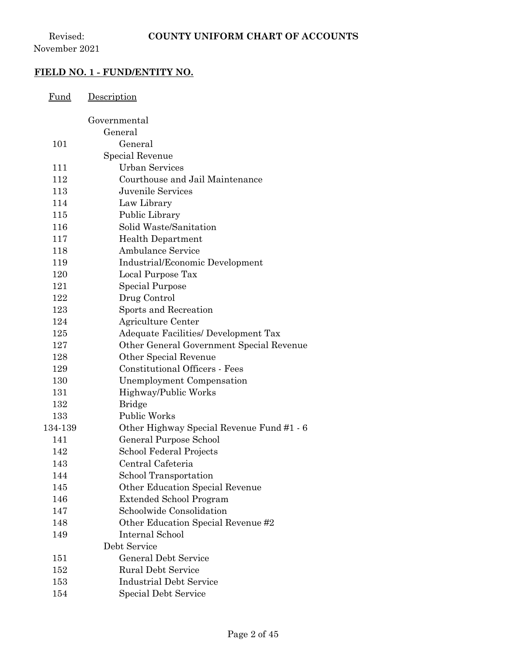## **FIELD NO. 1 - FUND/ENTITY NO.**

| Fund    | Description                               |
|---------|-------------------------------------------|
|         | Governmental                              |
|         | General                                   |
| 101     | General                                   |
|         | Special Revenue                           |
| 111     | <b>Urban Services</b>                     |
| 112     | Courthouse and Jail Maintenance           |
| 113     | <b>Juvenile Services</b>                  |
| 114     | Law Library                               |
| 115     | Public Library                            |
| 116     | Solid Waste/Sanitation                    |
| 117     | <b>Health Department</b>                  |
| 118     | <b>Ambulance Service</b>                  |
| 119     | Industrial/Economic Development           |
| 120     | Local Purpose Tax                         |
| 121     | Special Purpose                           |
| 122     | Drug Control                              |
| 123     | Sports and Recreation                     |
| 124     | Agriculture Center                        |
| 125     | Adequate Facilities/ Development Tax      |
| 127     | Other General Government Special Revenue  |
| 128     | Other Special Revenue                     |
| 129     | <b>Constitutional Officers - Fees</b>     |
| 130     | Unemployment Compensation                 |
| 131     | Highway/Public Works                      |
| 132     | <b>Bridge</b>                             |
| 133     | <b>Public Works</b>                       |
| 134-139 | Other Highway Special Revenue Fund #1 - 6 |
| 141     | General Purpose School                    |
| 142     | School Federal Projects                   |
| 143     | Central Cafeteria                         |
| 144     | School Transportation                     |
| 145     | Other Education Special Revenue           |
| 146     | <b>Extended School Program</b>            |
| 147     | Schoolwide Consolidation                  |
| 148     | Other Education Special Revenue #2        |
| 149     | Internal School                           |
|         | Debt Service                              |
| 151     | <b>General Debt Service</b>               |
| 152     | <b>Rural Debt Service</b>                 |
| 153     | <b>Industrial Debt Service</b>            |
| 154     | <b>Special Debt Service</b>               |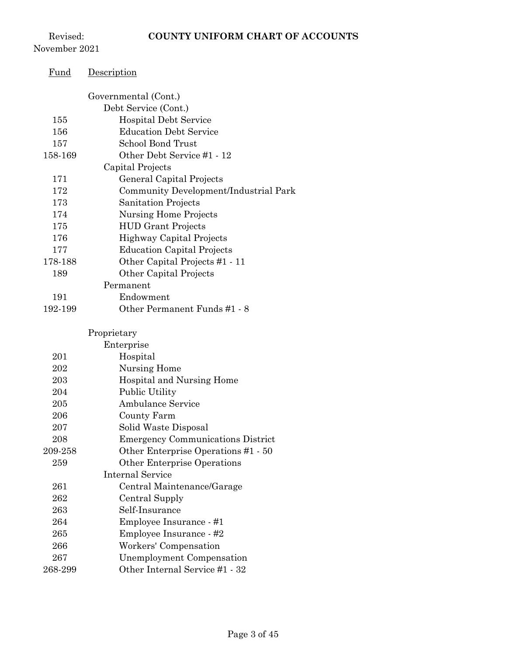Revised: November 2021

| <u>Fund</u> | Description                              |
|-------------|------------------------------------------|
|             | Governmental (Cont.)                     |
|             | Debt Service (Cont.)                     |
| 155         | <b>Hospital Debt Service</b>             |
| 156         | <b>Education Debt Service</b>            |
| 157         | School Bond Trust                        |
| 158-169     | Other Debt Service #1 - 12               |
|             | Capital Projects                         |
| 171         | General Capital Projects                 |
| 172         | Community Development/Industrial Park    |
| 173         | Sanitation Projects                      |
| 174         | <b>Nursing Home Projects</b>             |
| 175         | <b>HUD Grant Projects</b>                |
| 176         | <b>Highway Capital Projects</b>          |
| 177         | <b>Education Capital Projects</b>        |
| 178-188     | Other Capital Projects #1 - 11           |
| 189         | Other Capital Projects                   |
|             | Permanent                                |
| 191         | Endowment                                |
| 192-199     | Other Permanent Funds #1 - 8             |
|             | Proprietary                              |
|             | Enterprise                               |
| 201         | Hospital                                 |
| 202         | Nursing Home                             |
| 203         | Hospital and Nursing Home                |
| 204         | <b>Public Utility</b>                    |
| 205         | <b>Ambulance Service</b>                 |
| 206         | County Farm                              |
| 207         | Solid Waste Disposal                     |
| 208         | <b>Emergency Communications District</b> |
| 209-258     | Other Enterprise Operations #1 - 50      |
| 259         | Other Enterprise Operations              |
|             | <b>Internal Service</b>                  |
| 261         | Central Maintenance/Garage               |
| 262         | Central Supply                           |
| 263         | Self-Insurance                           |
| 264         | Employee Insurance - #1                  |
| 265         | Employee Insurance - #2                  |
| 266         | Workers' Compensation                    |
| 267         | <b>Unemployment Compensation</b>         |
| 268-299     | Other Internal Service #1 - 32           |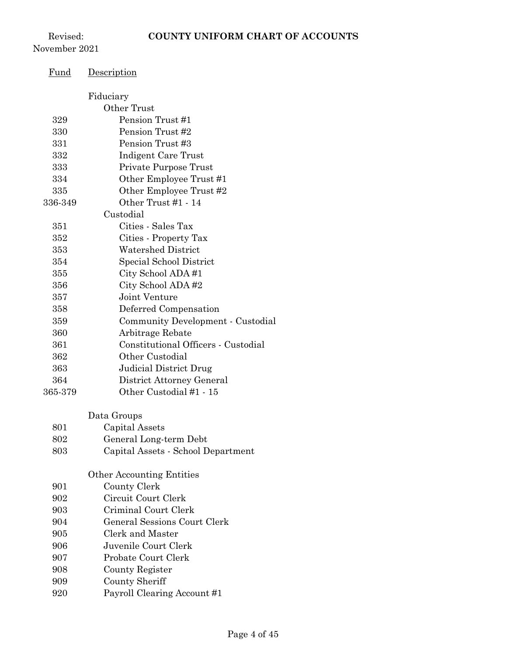Revised: November 2021

| <u>Fund</u> | Description                         |
|-------------|-------------------------------------|
|             |                                     |
|             | Fiduciary<br>Other Trust            |
| 329         | Pension Trust #1                    |
| 330         | Pension Trust #2                    |
| 331         | Pension Trust #3                    |
| 332         | Indigent Care Trust                 |
| 333         | Private Purpose Trust               |
| 334         | Other Employee Trust #1             |
| 335         | Other Employee Trust #2             |
| 336-349     | Other Trust #1 - 14                 |
|             | Custodial                           |
| 351         | Cities - Sales Tax                  |
| 352         | Cities - Property Tax               |
| 353         | <b>Watershed District</b>           |
| 354         | Special School District             |
| 355         | City School ADA#1                   |
| 356         | City School ADA#2                   |
| 357         | Joint Venture                       |
| 358         | Deferred Compensation               |
| 359         | Community Development - Custodial   |
| 360         | Arbitrage Rebate                    |
| 361         | Constitutional Officers - Custodial |
| 362         | Other Custodial                     |
| 363         | <b>Judicial District Drug</b>       |
| 364         | District Attorney General           |
| 365-379     | Other Custodial #1 - 15             |
|             |                                     |
|             | Data Groups                         |
| 801         | Capital Assets                      |
| 802         | General Long-term Debt              |
| 803         | Capital Assets - School Department  |
|             | <b>Other Accounting Entities</b>    |
| 901         | County Clerk                        |
| 902         | Circuit Court Clerk                 |
| 903         | Criminal Court Clerk                |
| 904         | <b>General Sessions Court Clerk</b> |
| 905         | Clerk and Master                    |
| 906         | Juvenile Court Clerk                |
| 907         | Probate Court Clerk                 |
| 908         | County Register                     |
| 909         | <b>County Sheriff</b>               |

Payroll Clearing Account #1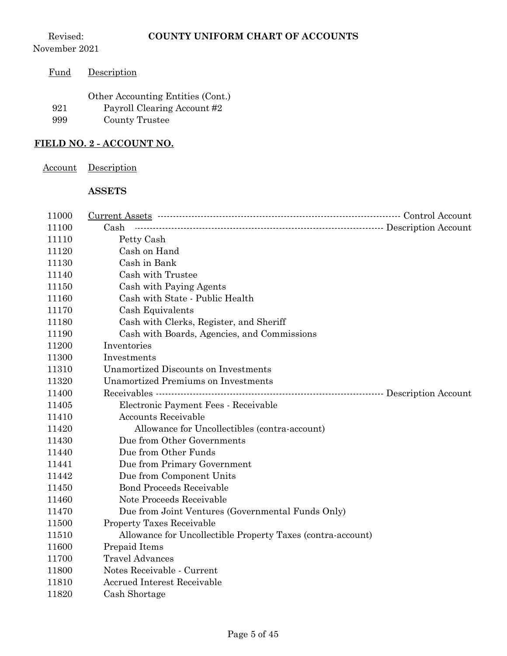| Fund | Description                       |
|------|-----------------------------------|
|      | Other Accounting Entities (Cont.) |
| 921  | Payroll Clearing Account #2       |
| 999  | County Trustee                    |
|      |                                   |

## **FIELD NO. 2 - ACCOUNT NO.**

| Account | Description |
|---------|-------------|
|         |             |

## **ASSETS**

| 11000 |                                                             |  |
|-------|-------------------------------------------------------------|--|
| 11100 | Cash                                                        |  |
| 11110 | Petty Cash                                                  |  |
| 11120 | Cash on Hand                                                |  |
| 11130 | Cash in Bank                                                |  |
| 11140 | Cash with Trustee                                           |  |
| 11150 | Cash with Paying Agents                                     |  |
| 11160 | Cash with State - Public Health                             |  |
| 11170 | Cash Equivalents                                            |  |
| 11180 | Cash with Clerks, Register, and Sheriff                     |  |
| 11190 | Cash with Boards, Agencies, and Commissions                 |  |
| 11200 | Inventories                                                 |  |
| 11300 | Investments                                                 |  |
| 11310 | <b>Unamortized Discounts on Investments</b>                 |  |
| 11320 | <b>Unamortized Premiums on Investments</b>                  |  |
| 11400 |                                                             |  |
| 11405 | Electronic Payment Fees - Receivable                        |  |
| 11410 | <b>Accounts Receivable</b>                                  |  |
| 11420 | Allowance for Uncollectibles (contra-account)               |  |
| 11430 | Due from Other Governments                                  |  |
| 11440 | Due from Other Funds                                        |  |
| 11441 | Due from Primary Government                                 |  |
| 11442 | Due from Component Units                                    |  |
| 11450 | <b>Bond Proceeds Receivable</b>                             |  |
| 11460 | Note Proceeds Receivable                                    |  |
| 11470 | Due from Joint Ventures (Governmental Funds Only)           |  |
| 11500 | <b>Property Taxes Receivable</b>                            |  |
| 11510 | Allowance for Uncollectible Property Taxes (contra-account) |  |
| 11600 | Prepaid Items                                               |  |
| 11700 | <b>Travel Advances</b>                                      |  |
| 11800 | Notes Receivable - Current                                  |  |
| 11810 | <b>Accrued Interest Receivable</b>                          |  |
| 11820 | Cash Shortage                                               |  |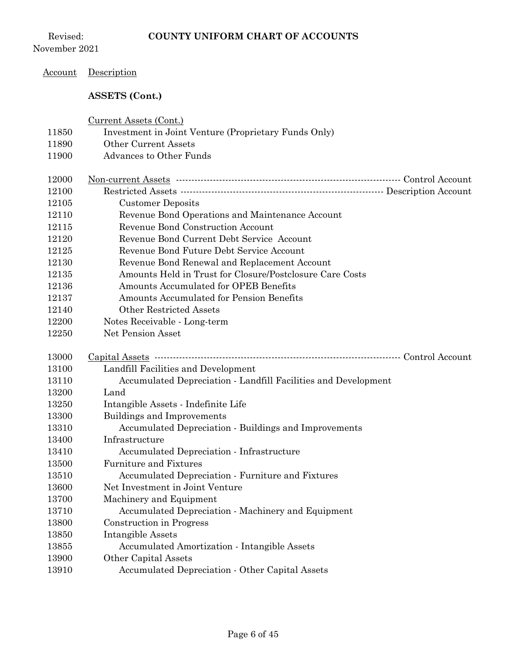Revised: November 2021

## Account Description

## **ASSETS (Cont.)**

| 11850<br>Investment in Joint Venture (Proprietary Funds Only)<br><b>Other Current Assets</b><br>11890<br><b>Advances to Other Funds</b><br>11900<br>12000<br>12100<br>12105<br><b>Customer Deposits</b><br>Revenue Bond Operations and Maintenance Account<br>12110<br>Revenue Bond Construction Account<br>12115<br>Revenue Bond Current Debt Service Account<br>12120<br>Revenue Bond Future Debt Service Account<br>12125<br>Revenue Bond Renewal and Replacement Account<br>12130<br>Amounts Held in Trust for Closure/Postclosure Care Costs<br>12135<br>Amounts Accumulated for OPEB Benefits<br>12136<br>Amounts Accumulated for Pension Benefits<br>12137<br><b>Other Restricted Assets</b><br>12140<br>Notes Receivable - Long-term<br>12200<br>Net Pension Asset<br>12250<br>13000<br>Landfill Facilities and Development<br>13100<br>Accumulated Depreciation - Landfill Facilities and Development<br>13110 |                |                                                                             |
|-------------------------------------------------------------------------------------------------------------------------------------------------------------------------------------------------------------------------------------------------------------------------------------------------------------------------------------------------------------------------------------------------------------------------------------------------------------------------------------------------------------------------------------------------------------------------------------------------------------------------------------------------------------------------------------------------------------------------------------------------------------------------------------------------------------------------------------------------------------------------------------------------------------------------|----------------|-----------------------------------------------------------------------------|
|                                                                                                                                                                                                                                                                                                                                                                                                                                                                                                                                                                                                                                                                                                                                                                                                                                                                                                                         |                |                                                                             |
|                                                                                                                                                                                                                                                                                                                                                                                                                                                                                                                                                                                                                                                                                                                                                                                                                                                                                                                         |                |                                                                             |
|                                                                                                                                                                                                                                                                                                                                                                                                                                                                                                                                                                                                                                                                                                                                                                                                                                                                                                                         |                |                                                                             |
|                                                                                                                                                                                                                                                                                                                                                                                                                                                                                                                                                                                                                                                                                                                                                                                                                                                                                                                         |                |                                                                             |
|                                                                                                                                                                                                                                                                                                                                                                                                                                                                                                                                                                                                                                                                                                                                                                                                                                                                                                                         |                |                                                                             |
|                                                                                                                                                                                                                                                                                                                                                                                                                                                                                                                                                                                                                                                                                                                                                                                                                                                                                                                         |                |                                                                             |
|                                                                                                                                                                                                                                                                                                                                                                                                                                                                                                                                                                                                                                                                                                                                                                                                                                                                                                                         |                |                                                                             |
|                                                                                                                                                                                                                                                                                                                                                                                                                                                                                                                                                                                                                                                                                                                                                                                                                                                                                                                         |                |                                                                             |
|                                                                                                                                                                                                                                                                                                                                                                                                                                                                                                                                                                                                                                                                                                                                                                                                                                                                                                                         |                |                                                                             |
|                                                                                                                                                                                                                                                                                                                                                                                                                                                                                                                                                                                                                                                                                                                                                                                                                                                                                                                         |                |                                                                             |
|                                                                                                                                                                                                                                                                                                                                                                                                                                                                                                                                                                                                                                                                                                                                                                                                                                                                                                                         |                |                                                                             |
|                                                                                                                                                                                                                                                                                                                                                                                                                                                                                                                                                                                                                                                                                                                                                                                                                                                                                                                         |                |                                                                             |
|                                                                                                                                                                                                                                                                                                                                                                                                                                                                                                                                                                                                                                                                                                                                                                                                                                                                                                                         |                |                                                                             |
|                                                                                                                                                                                                                                                                                                                                                                                                                                                                                                                                                                                                                                                                                                                                                                                                                                                                                                                         |                |                                                                             |
|                                                                                                                                                                                                                                                                                                                                                                                                                                                                                                                                                                                                                                                                                                                                                                                                                                                                                                                         |                |                                                                             |
|                                                                                                                                                                                                                                                                                                                                                                                                                                                                                                                                                                                                                                                                                                                                                                                                                                                                                                                         |                |                                                                             |
|                                                                                                                                                                                                                                                                                                                                                                                                                                                                                                                                                                                                                                                                                                                                                                                                                                                                                                                         |                |                                                                             |
|                                                                                                                                                                                                                                                                                                                                                                                                                                                                                                                                                                                                                                                                                                                                                                                                                                                                                                                         |                |                                                                             |
|                                                                                                                                                                                                                                                                                                                                                                                                                                                                                                                                                                                                                                                                                                                                                                                                                                                                                                                         |                |                                                                             |
|                                                                                                                                                                                                                                                                                                                                                                                                                                                                                                                                                                                                                                                                                                                                                                                                                                                                                                                         |                |                                                                             |
|                                                                                                                                                                                                                                                                                                                                                                                                                                                                                                                                                                                                                                                                                                                                                                                                                                                                                                                         |                |                                                                             |
| 13200<br>Land                                                                                                                                                                                                                                                                                                                                                                                                                                                                                                                                                                                                                                                                                                                                                                                                                                                                                                           |                |                                                                             |
| Intangible Assets - Indefinite Life<br>13250                                                                                                                                                                                                                                                                                                                                                                                                                                                                                                                                                                                                                                                                                                                                                                                                                                                                            |                |                                                                             |
| <b>Buildings and Improvements</b><br>13300                                                                                                                                                                                                                                                                                                                                                                                                                                                                                                                                                                                                                                                                                                                                                                                                                                                                              |                |                                                                             |
| 13310<br>Accumulated Depreciation - Buildings and Improvements                                                                                                                                                                                                                                                                                                                                                                                                                                                                                                                                                                                                                                                                                                                                                                                                                                                          |                |                                                                             |
| 13400<br>Infrastructure                                                                                                                                                                                                                                                                                                                                                                                                                                                                                                                                                                                                                                                                                                                                                                                                                                                                                                 |                |                                                                             |
| 13410<br>Accumulated Depreciation - Infrastructure                                                                                                                                                                                                                                                                                                                                                                                                                                                                                                                                                                                                                                                                                                                                                                                                                                                                      |                |                                                                             |
| <b>Furniture and Fixtures</b><br>13500                                                                                                                                                                                                                                                                                                                                                                                                                                                                                                                                                                                                                                                                                                                                                                                                                                                                                  |                |                                                                             |
| Accumulated Depreciation - Furniture and Fixtures                                                                                                                                                                                                                                                                                                                                                                                                                                                                                                                                                                                                                                                                                                                                                                                                                                                                       |                |                                                                             |
| Net Investment in Joint Venture                                                                                                                                                                                                                                                                                                                                                                                                                                                                                                                                                                                                                                                                                                                                                                                                                                                                                         |                |                                                                             |
| Machinery and Equipment                                                                                                                                                                                                                                                                                                                                                                                                                                                                                                                                                                                                                                                                                                                                                                                                                                                                                                 | 13510          |                                                                             |
| Accumulated Depreciation - Machinery and Equipment                                                                                                                                                                                                                                                                                                                                                                                                                                                                                                                                                                                                                                                                                                                                                                                                                                                                      | 13600          |                                                                             |
|                                                                                                                                                                                                                                                                                                                                                                                                                                                                                                                                                                                                                                                                                                                                                                                                                                                                                                                         | 13700          |                                                                             |
|                                                                                                                                                                                                                                                                                                                                                                                                                                                                                                                                                                                                                                                                                                                                                                                                                                                                                                                         | 13710          |                                                                             |
|                                                                                                                                                                                                                                                                                                                                                                                                                                                                                                                                                                                                                                                                                                                                                                                                                                                                                                                         | 13800          | Construction in Progress                                                    |
|                                                                                                                                                                                                                                                                                                                                                                                                                                                                                                                                                                                                                                                                                                                                                                                                                                                                                                                         | 13850          | <b>Intangible Assets</b>                                                    |
| Accumulated Depreciation - Other Capital Assets<br>13910                                                                                                                                                                                                                                                                                                                                                                                                                                                                                                                                                                                                                                                                                                                                                                                                                                                                | 13855<br>13900 | <b>Accumulated Amortization - Intangible Assets</b><br>Other Capital Assets |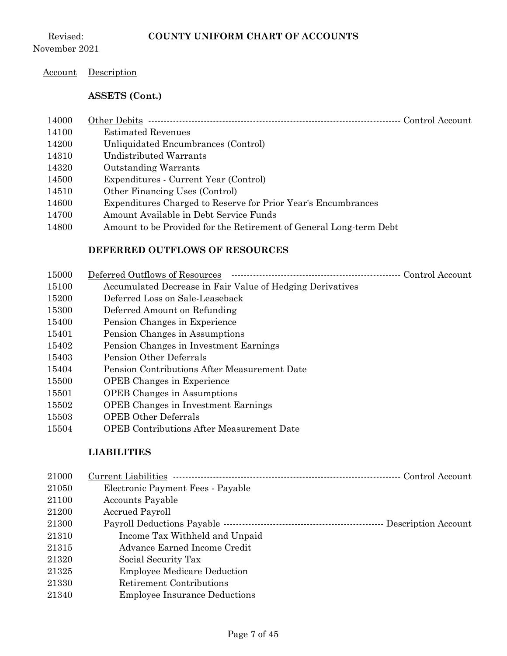Revised: November 2021

#### Account Description

#### **ASSETS (Cont.)**

| 4000 | ′)ther ∶<br>-Debits                                                                                                                                                                                                                                                                                                                                                                                                                                                        | ' ∶ont.roL<br>-Account |
|------|----------------------------------------------------------------------------------------------------------------------------------------------------------------------------------------------------------------------------------------------------------------------------------------------------------------------------------------------------------------------------------------------------------------------------------------------------------------------------|------------------------|
|      | $\frac{1}{2} \left( \frac{1}{2} \right) \left( \frac{1}{2} \right) \left( \frac{1}{2} \right) \left( \frac{1}{2} \right) \left( \frac{1}{2} \right) \left( \frac{1}{2} \right) \left( \frac{1}{2} \right) \left( \frac{1}{2} \right) \left( \frac{1}{2} \right) \left( \frac{1}{2} \right) \left( \frac{1}{2} \right) \left( \frac{1}{2} \right) \left( \frac{1}{2} \right) \left( \frac{1}{2} \right) \left( \frac{1}{2} \right) \left( \frac{1}{2} \right) \left( \frac$ |                        |

 Estimated Revenues Unliquidated Encumbrances (Control) Undistributed Warrants Outstanding Warrants Expenditures - Current Year (Control) Other Financing Uses (Control) Expenditures Charged to Reserve for Prior Year's Encumbrances Amount Available in Debt Service Funds Amount to be Provided for the Retirement of General Long-term Debt

# **DEFERRED OUTFLOWS OF RESOURCES**

| 15000 | Deferred Outflows of Resources<br>Control Account -       |
|-------|-----------------------------------------------------------|
| 15100 | Accumulated Decrease in Fair Value of Hedging Derivatives |
| 15200 | Deferred Loss on Sale-Leaseback                           |
| 15300 | Deferred Amount on Refunding                              |
| 15400 | Pension Changes in Experience                             |
| 15401 | Pension Changes in Assumptions                            |
| 15402 | Pension Changes in Investment Earnings                    |
| 15403 | <b>Pension Other Deferrals</b>                            |
| 15404 | Pension Contributions After Measurement Date              |
| 15500 | <b>OPEB</b> Changes in Experience                         |
| 15501 | <b>OPEB</b> Changes in Assumptions                        |
| 15502 | <b>OPEB</b> Changes in Investment Earnings                |
| 15503 | <b>OPEB Other Deferrals</b>                               |
| 15504 | <b>OPEB Contributions After Measurement Date</b>          |

#### **LIABILITIES**

| 21000 |                                      |  |
|-------|--------------------------------------|--|
| 21050 | Electronic Payment Fees - Payable    |  |
| 21100 | <b>Accounts Payable</b>              |  |
| 21200 | <b>Accrued Payroll</b>               |  |
| 21300 |                                      |  |
| 21310 | Income Tax Withheld and Unpaid       |  |
| 21315 | Advance Earned Income Credit         |  |
| 21320 | Social Security Tax                  |  |
| 21325 | <b>Employee Medicare Deduction</b>   |  |
| 21330 | <b>Retirement Contributions</b>      |  |
| 21340 | <b>Employee Insurance Deductions</b> |  |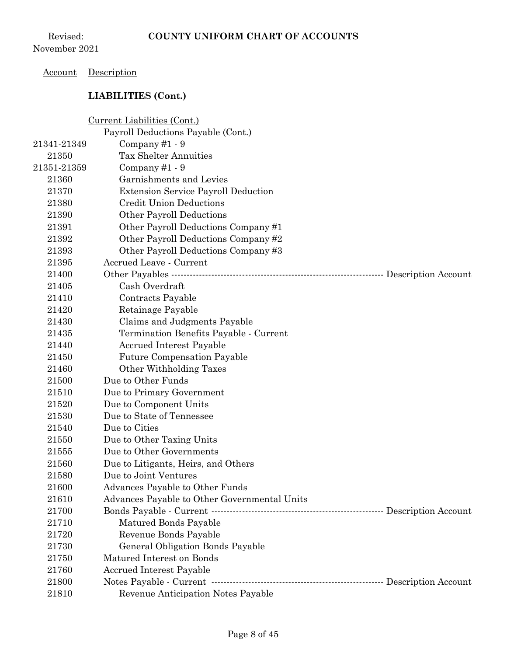## Account Description

|             | Current Liabilities (Cont.)                                      |  |
|-------------|------------------------------------------------------------------|--|
|             | Payroll Deductions Payable (Cont.)                               |  |
| 21341-21349 | Company#1 - 9                                                    |  |
| 21350       | <b>Tax Shelter Annuities</b>                                     |  |
| 21351-21359 | Company#1 - 9                                                    |  |
| 21360       | Garnishments and Levies                                          |  |
| 21370       | <b>Extension Service Payroll Deduction</b>                       |  |
| 21380       | <b>Credit Union Deductions</b>                                   |  |
| 21390       | Other Payroll Deductions                                         |  |
| 21391       | Other Payroll Deductions Company#1                               |  |
| 21392       | Other Payroll Deductions Company #2                              |  |
| 21393       | Other Payroll Deductions Company #3                              |  |
| 21395       | <b>Accrued Leave - Current</b>                                   |  |
| 21400       | Other Payables …………………………………………………………………………… Description Account |  |
| 21405       | Cash Overdraft                                                   |  |
| 21410       | Contracts Payable                                                |  |
| 21420       | Retainage Payable                                                |  |
| 21430       | Claims and Judgments Payable                                     |  |
| 21435       | Termination Benefits Payable - Current                           |  |
| 21440       | Accrued Interest Payable                                         |  |
| 21450       | <b>Future Compensation Payable</b>                               |  |
| 21460       | Other Withholding Taxes                                          |  |
| 21500       | Due to Other Funds                                               |  |
| 21510       | Due to Primary Government                                        |  |
| 21520       | Due to Component Units                                           |  |
| 21530       | Due to State of Tennessee                                        |  |
| 21540       | Due to Cities                                                    |  |
| 21550       | Due to Other Taxing Units                                        |  |
| 21555       | Due to Other Governments                                         |  |
| 21560       | Due to Litigants, Heirs, and Others                              |  |
| 21580       | Due to Joint Ventures                                            |  |
| 21600       | Advances Payable to Other Funds                                  |  |
| 21610       | Advances Payable to Other Governmental Units                     |  |
| 21700       |                                                                  |  |
| 21710       | Matured Bonds Payable                                            |  |
| 21720       | Revenue Bonds Payable                                            |  |
| 21730       | General Obligation Bonds Payable                                 |  |
| 21750       | Matured Interest on Bonds                                        |  |
| 21760       | <b>Accrued Interest Payable</b>                                  |  |
| 21800       |                                                                  |  |
| 21810       | Revenue Anticipation Notes Payable                               |  |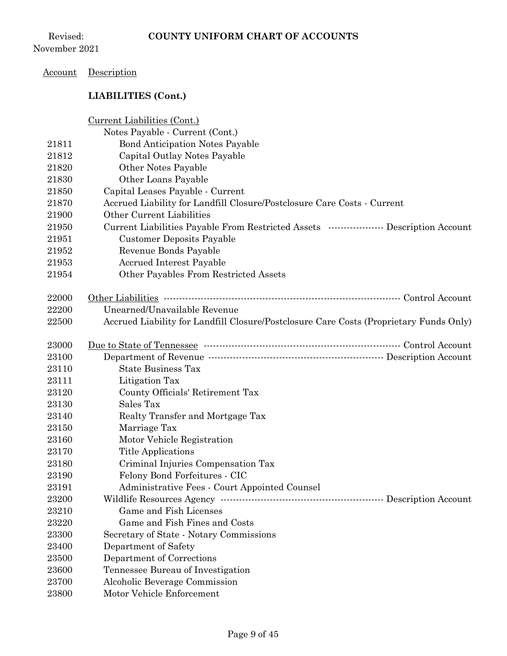## Account Description

|       | Current Liabilities (Cont.)<br>Notes Payable - Current (Cont.)                             |
|-------|--------------------------------------------------------------------------------------------|
| 21811 | <b>Bond Anticipation Notes Payable</b>                                                     |
| 21812 | Capital Outlay Notes Payable                                                               |
| 21820 | Other Notes Payable                                                                        |
| 21830 | Other Loans Payable                                                                        |
| 21850 | Capital Leases Payable - Current                                                           |
| 21870 | Accrued Liability for Landfill Closure/Postclosure Care Costs - Current                    |
| 21900 | Other Current Liabilities                                                                  |
| 21950 | Current Liabilities Payable From Restricted Assets ------------------- Description Account |
| 21951 | <b>Customer Deposits Payable</b>                                                           |
| 21952 | Revenue Bonds Payable                                                                      |
| 21953 | <b>Accrued Interest Payable</b>                                                            |
| 21954 | Other Payables From Restricted Assets                                                      |
|       |                                                                                            |
| 22000 |                                                                                            |
| 22200 | Unearned/Unavailable Revenue                                                               |
| 22500 | Accrued Liability for Landfill Closure/Postclosure Care Costs (Proprietary Funds Only)     |
|       |                                                                                            |
| 23000 |                                                                                            |
| 23100 |                                                                                            |
| 23110 | <b>State Business Tax</b>                                                                  |
| 23111 | Litigation Tax                                                                             |
| 23120 | County Officials' Retirement Tax                                                           |
| 23130 | Sales Tax                                                                                  |
| 23140 | Realty Transfer and Mortgage Tax                                                           |
| 23150 | Marriage Tax                                                                               |
| 23160 | Motor Vehicle Registration                                                                 |
| 23170 | <b>Title Applications</b>                                                                  |
| 23180 | Criminal Injuries Compensation Tax                                                         |
| 23190 | Felony Bond Forfeitures - CIC                                                              |
| 23191 | Administrative Fees - Court Appointed Counsel                                              |
| 23200 |                                                                                            |
| 23210 | Game and Fish Licenses                                                                     |
| 23220 | Game and Fish Fines and Costs                                                              |
| 23300 | Secretary of State - Notary Commissions                                                    |
| 23400 | Department of Safety                                                                       |
| 23500 | Department of Corrections                                                                  |
| 23600 | Tennessee Bureau of Investigation                                                          |
| 23700 | Alcoholic Beverage Commission                                                              |
| 23800 | Motor Vehicle Enforcement                                                                  |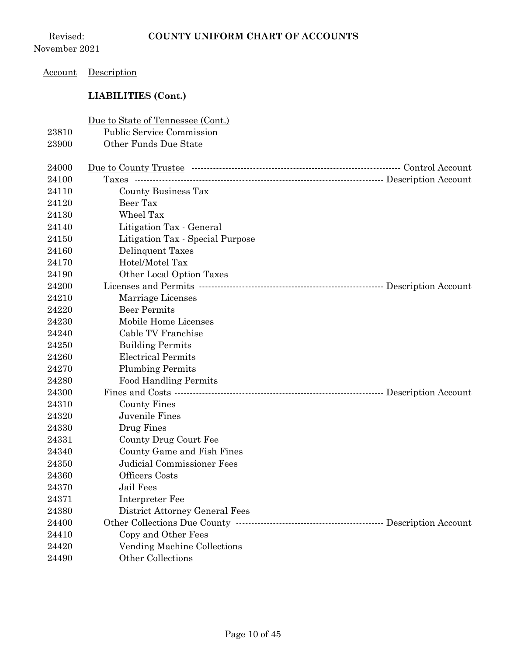Revised: November 2021

## Account Description

|       | Due to State of Tennessee (Cont.) |  |
|-------|-----------------------------------|--|
| 23810 | <b>Public Service Commission</b>  |  |
| 23900 | Other Funds Due State             |  |
|       |                                   |  |
| 24000 |                                   |  |
| 24100 |                                   |  |
| 24110 | County Business Tax               |  |
| 24120 | Beer Tax                          |  |
| 24130 | Wheel Tax                         |  |
| 24140 | Litigation Tax - General          |  |
| 24150 | Litigation Tax - Special Purpose  |  |
| 24160 | Delinquent Taxes                  |  |
| 24170 | Hotel/Motel Tax                   |  |
| 24190 | Other Local Option Taxes          |  |
| 24200 |                                   |  |
| 24210 | Marriage Licenses                 |  |
| 24220 | <b>Beer Permits</b>               |  |
| 24230 | Mobile Home Licenses              |  |
| 24240 | Cable TV Franchise                |  |
| 24250 | <b>Building Permits</b>           |  |
| 24260 | <b>Electrical Permits</b>         |  |
| 24270 | <b>Plumbing Permits</b>           |  |
| 24280 | <b>Food Handling Permits</b>      |  |
| 24300 |                                   |  |
| 24310 | County Fines                      |  |
| 24320 | Juvenile Fines                    |  |
| 24330 | Drug Fines                        |  |
| 24331 | County Drug Court Fee             |  |
| 24340 | County Game and Fish Fines        |  |
| 24350 | <b>Judicial Commissioner Fees</b> |  |
| 24360 | Officers Costs                    |  |
| 24370 | Jail Fees                         |  |
| 24371 | Interpreter Fee                   |  |
| 24380 | District Attorney General Fees    |  |
| 24400 |                                   |  |
| 24410 | Copy and Other Fees               |  |
| 24420 | Vending Machine Collections       |  |
| 24490 | Other Collections                 |  |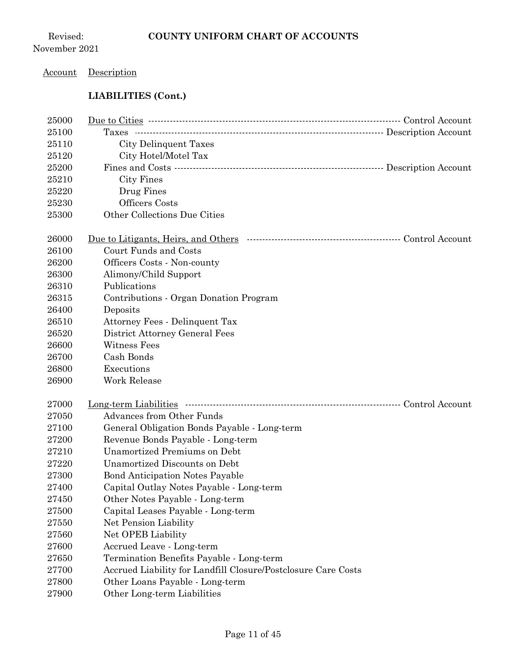## Account Description

| 25000 |                                                               |  |
|-------|---------------------------------------------------------------|--|
| 25100 |                                                               |  |
| 25110 | City Delinquent Taxes                                         |  |
| 25120 | City Hotel/Motel Tax                                          |  |
| 25200 |                                                               |  |
| 25210 | City Fines                                                    |  |
| 25220 | Drug Fines                                                    |  |
| 25230 | Officers Costs                                                |  |
| 25300 | Other Collections Due Cities                                  |  |
|       |                                                               |  |
| 26000 |                                                               |  |
| 26100 | Court Funds and Costs                                         |  |
| 26200 | Officers Costs - Non-county                                   |  |
| 26300 | Alimony/Child Support                                         |  |
| 26310 | Publications                                                  |  |
| 26315 | Contributions - Organ Donation Program                        |  |
| 26400 | Deposits                                                      |  |
| 26510 | Attorney Fees - Delinquent Tax                                |  |
| 26520 | District Attorney General Fees                                |  |
| 26600 | Witness Fees                                                  |  |
| 26700 | Cash Bonds                                                    |  |
| 26800 | Executions                                                    |  |
| 26900 | Work Release                                                  |  |
|       |                                                               |  |
| 27000 |                                                               |  |
| 27050 | <b>Advances from Other Funds</b>                              |  |
| 27100 | General Obligation Bonds Payable - Long-term                  |  |
| 27200 | Revenue Bonds Payable - Long-term                             |  |
| 27210 | <b>Unamortized Premiums on Debt</b>                           |  |
| 27220 | Unamortized Discounts on Debt                                 |  |
| 27300 | <b>Bond Anticipation Notes Payable</b>                        |  |
| 27400 | Capital Outlay Notes Payable - Long-term                      |  |
| 27450 | Other Notes Payable - Long-term                               |  |
| 27500 | Capital Leases Payable - Long-term                            |  |
| 27550 | Net Pension Liability                                         |  |
| 27560 | Net OPEB Liability                                            |  |
| 27600 | Accrued Leave - Long-term                                     |  |
| 27650 | Termination Benefits Payable - Long-term                      |  |
| 27700 | Accrued Liability for Landfill Closure/Postclosure Care Costs |  |
| 27800 | Other Loans Payable - Long-term                               |  |
| 27900 | Other Long-term Liabilities                                   |  |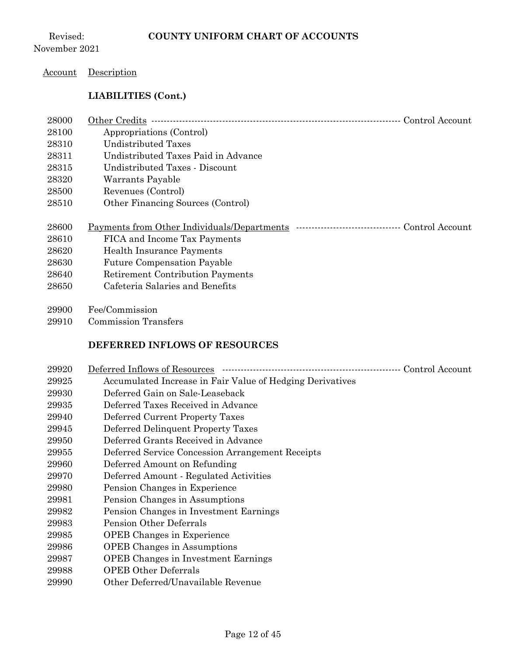#### Account Description

## **LIABILITIES (Cont.)**

| 28000 | Other Credits<br>Control Account                                                                     |
|-------|------------------------------------------------------------------------------------------------------|
| 28100 | Appropriations (Control)                                                                             |
| 28310 | <b>Undistributed Taxes</b>                                                                           |
| 28311 | Undistributed Taxes Paid in Advance                                                                  |
| 28315 | Undistributed Taxes - Discount                                                                       |
| 28320 | Warrants Payable                                                                                     |
| 28500 | Revenues (Control)                                                                                   |
| 28510 | Other Financing Sources (Control)                                                                    |
|       |                                                                                                      |
|       |                                                                                                      |
| 28600 | Payments from Other Individuals/Departments<br>Control Account<br>---------------------------------- |
| 28610 | FICA and Income Tax Payments                                                                         |
| 28620 | <b>Health Insurance Payments</b>                                                                     |
| 28630 | <b>Future Compensation Payable</b>                                                                   |
| 28640 | <b>Retirement Contribution Payments</b>                                                              |
| 28650 | Cafeteria Salaries and Benefits                                                                      |

Commission Transfers

## **DEFERRED INFLOWS OF RESOURCES**

| 29920 | Deferred Inflows of Resources                             | Control Account |
|-------|-----------------------------------------------------------|-----------------|
| 29925 | Accumulated Increase in Fair Value of Hedging Derivatives |                 |
| 29930 | Deferred Gain on Sale-Leaseback                           |                 |
| 29935 | Deferred Taxes Received in Advance                        |                 |
| 29940 | Deferred Current Property Taxes                           |                 |
| 29945 | Deferred Delinquent Property Taxes                        |                 |
| 29950 | Deferred Grants Received in Advance                       |                 |
| 29955 | Deferred Service Concession Arrangement Receipts          |                 |
| 29960 | Deferred Amount on Refunding                              |                 |
| 29970 | Deferred Amount - Regulated Activities                    |                 |
| 29980 | Pension Changes in Experience                             |                 |
| 29981 | Pension Changes in Assumptions                            |                 |
| 29982 | Pension Changes in Investment Earnings                    |                 |
| 29983 | Pension Other Deferrals                                   |                 |
| 29985 | <b>OPEB</b> Changes in Experience                         |                 |
| 29986 | <b>OPEB</b> Changes in Assumptions                        |                 |
| 29987 | <b>OPEB</b> Changes in Investment Earnings                |                 |
| 29988 | <b>OPEB Other Deferrals</b>                               |                 |
| 29990 | Other Deferred/Unavailable Revenue                        |                 |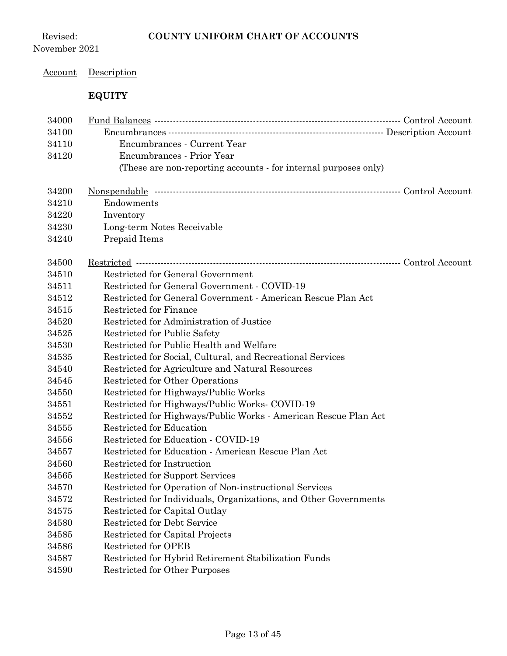Revised: November 2021

## Account Description

## **EQUITY**

| 34000 |                                                                  |  |
|-------|------------------------------------------------------------------|--|
| 34100 |                                                                  |  |
| 34110 | Encumbrances - Current Year                                      |  |
| 34120 | Encumbrances - Prior Year                                        |  |
|       | (These are non-reporting accounts - for internal purposes only)  |  |
|       |                                                                  |  |
| 34200 |                                                                  |  |
| 34210 | Endowments                                                       |  |
| 34220 | Inventory                                                        |  |
| 34230 | Long-term Notes Receivable                                       |  |
| 34240 | Prepaid Items                                                    |  |
|       |                                                                  |  |
| 34500 |                                                                  |  |
| 34510 | Restricted for General Government                                |  |
| 34511 | Restricted for General Government - COVID-19                     |  |
| 34512 | Restricted for General Government - American Rescue Plan Act     |  |
| 34515 | Restricted for Finance                                           |  |
| 34520 | Restricted for Administration of Justice                         |  |
| 34525 | Restricted for Public Safety                                     |  |
| 34530 | Restricted for Public Health and Welfare                         |  |
| 34535 | Restricted for Social, Cultural, and Recreational Services       |  |
| 34540 | Restricted for Agriculture and Natural Resources                 |  |
| 34545 | Restricted for Other Operations                                  |  |
| 34550 | Restricted for Highways/Public Works                             |  |
| 34551 | Restricted for Highways/Public Works- COVID-19                   |  |
| 34552 | Restricted for Highways/Public Works - American Rescue Plan Act  |  |
| 34555 | <b>Restricted for Education</b>                                  |  |
| 34556 | Restricted for Education - COVID-19                              |  |
| 34557 | Restricted for Education - American Rescue Plan Act              |  |
| 34560 | Restricted for Instruction                                       |  |
| 34565 | Restricted for Support Services                                  |  |
| 34570 | Restricted for Operation of Non-instructional Services           |  |
| 34572 | Restricted for Individuals, Organizations, and Other Governments |  |
| 34575 | Restricted for Capital Outlay                                    |  |
| 34580 | <b>Restricted for Debt Service</b>                               |  |
| 34585 | Restricted for Capital Projects                                  |  |
| 34586 | Restricted for OPEB                                              |  |
| 34587 | Restricted for Hybrid Retirement Stabilization Funds             |  |
| 34590 | <b>Restricted for Other Purposes</b>                             |  |
|       |                                                                  |  |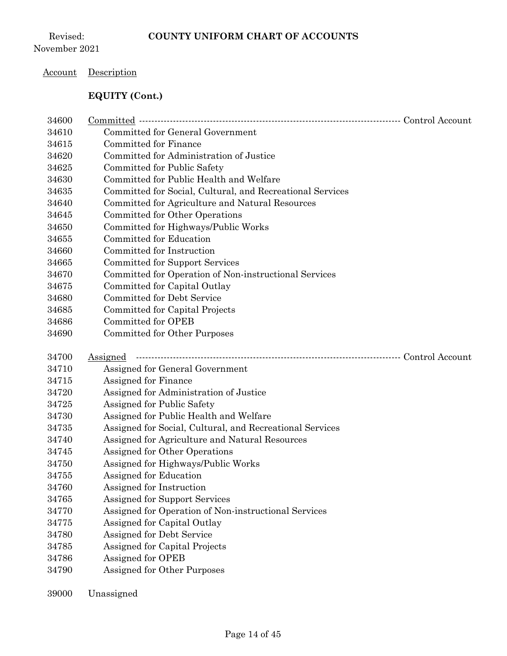## Account Description

## **EQUITY (Cont.)**

| 34600 |                                                           |  |
|-------|-----------------------------------------------------------|--|
| 34610 | <b>Committed for General Government</b>                   |  |
| 34615 | Committed for Finance                                     |  |
| 34620 | Committed for Administration of Justice                   |  |
| 34625 | Committed for Public Safety                               |  |
| 34630 | Committed for Public Health and Welfare                   |  |
| 34635 | Committed for Social, Cultural, and Recreational Services |  |
| 34640 | Committed for Agriculture and Natural Resources           |  |
| 34645 | Committed for Other Operations                            |  |
| 34650 | Committed for Highways/Public Works                       |  |
| 34655 | Committed for Education                                   |  |
| 34660 | Committed for Instruction                                 |  |
| 34665 | <b>Committed for Support Services</b>                     |  |
| 34670 | Committed for Operation of Non-instructional Services     |  |
| 34675 | Committed for Capital Outlay                              |  |
| 34680 | <b>Committed for Debt Service</b>                         |  |
| 34685 | Committed for Capital Projects                            |  |
| 34686 | Committed for OPEB                                        |  |
| 34690 | <b>Committed for Other Purposes</b>                       |  |
|       |                                                           |  |
| 34700 | <b>Assigned</b>                                           |  |
| 34710 | Assigned for General Government                           |  |
| 34715 | Assigned for Finance                                      |  |
| 34720 | Assigned for Administration of Justice                    |  |
| 34725 | Assigned for Public Safety                                |  |
| 34730 | Assigned for Public Health and Welfare                    |  |
| 34735 | Assigned for Social, Cultural, and Recreational Services  |  |
| 34740 | Assigned for Agriculture and Natural Resources            |  |
| 34745 | Assigned for Other Operations                             |  |
| 34750 | Assigned for Highways/Public Works                        |  |
| 34755 | Assigned for Education                                    |  |
| 34760 | Assigned for Instruction                                  |  |
| 34765 | Assigned for Support Services                             |  |
| 34770 | Assigned for Operation of Non-instructional Services      |  |
| 34775 | Assigned for Capital Outlay                               |  |
| 34780 | Assigned for Debt Service                                 |  |
| 34785 | Assigned for Capital Projects                             |  |
| 34786 | Assigned for OPEB                                         |  |
| 34790 | Assigned for Other Purposes                               |  |

Unassigned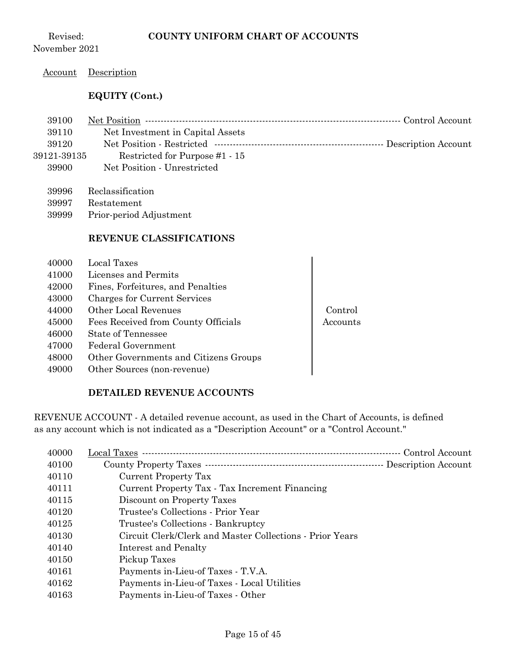Revised: November 2021

#### Account Description

#### **EQUITY (Cont.)**

| 39100       |                                  |  |
|-------------|----------------------------------|--|
| 39110       | Net Investment in Capital Assets |  |
| 39120       |                                  |  |
| 39121-39135 | Restricted for Purpose #1 - 15   |  |

- Net Position Unrestricted
	- Reclassification
	- Restatement
	- Prior-period Adjustment

#### **REVENUE CLASSIFICATIONS**

- Local Taxes Licenses and Permits Fines, Forfeitures, and Penalties Charges for Current Services Other Local Revenues Control 45000 Fees Received from County Officials | Accounts
- State of Tennessee
- Federal Government
- Other Governments and Citizens Groups
- Other Sources (non-revenue)

#### **DETAILED REVENUE ACCOUNTS**

REVENUE ACCOUNT - A detailed revenue account, as used in the Chart of Accounts, is defined as any account which is not indicated as a "Description Account" or a "Control Account."

| 40000 | Local Taxes ………………………………………………………………………                  | Control Account |
|-------|----------------------------------------------------------|-----------------|
| 40100 |                                                          |                 |
| 40110 | Current Property Tax                                     |                 |
| 40111 | Current Property Tax - Tax Increment Financing           |                 |
| 40115 | Discount on Property Taxes                               |                 |
| 40120 | Trustee's Collections - Prior Year                       |                 |
| 40125 | Trustee's Collections - Bankruptcy                       |                 |
| 40130 | Circuit Clerk/Clerk and Master Collections - Prior Years |                 |
| 40140 | Interest and Penalty                                     |                 |
| 40150 | Pickup Taxes                                             |                 |
| 40161 | Payments in-Lieu-of Taxes - T.V.A.                       |                 |
| 40162 | Payments in-Lieu-of Taxes - Local Utilities              |                 |
| 40163 | Payments in-Lieu-of Taxes - Other                        |                 |
|       |                                                          |                 |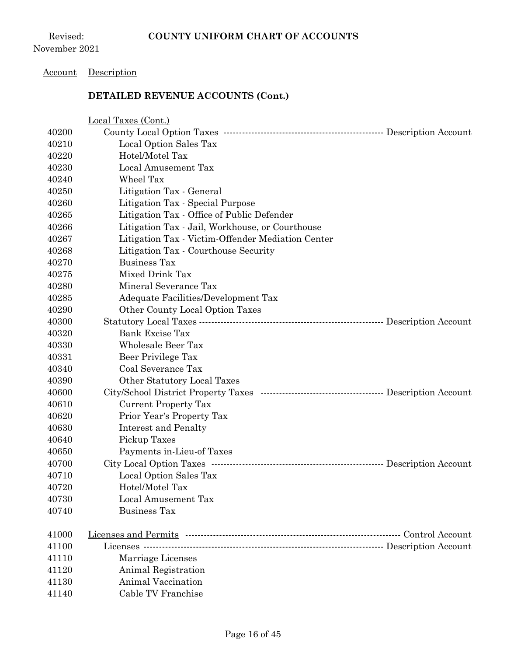#### Account Description

|       | Local Taxes (Cont.)                                                          |  |
|-------|------------------------------------------------------------------------------|--|
| 40200 |                                                                              |  |
| 40210 | Local Option Sales Tax                                                       |  |
| 40220 | Hotel/Motel Tax                                                              |  |
| 40230 | Local Amusement Tax                                                          |  |
| 40240 | Wheel Tax                                                                    |  |
| 40250 | Litigation Tax - General                                                     |  |
| 40260 | Litigation Tax - Special Purpose                                             |  |
| 40265 | Litigation Tax - Office of Public Defender                                   |  |
| 40266 | Litigation Tax - Jail, Workhouse, or Courthouse                              |  |
| 40267 | Litigation Tax - Victim-Offender Mediation Center                            |  |
| 40268 | Litigation Tax - Courthouse Security                                         |  |
| 40270 | <b>Business Tax</b>                                                          |  |
| 40275 | Mixed Drink Tax                                                              |  |
| 40280 | Mineral Severance Tax                                                        |  |
| 40285 | Adequate Facilities/Development Tax                                          |  |
| 40290 | Other County Local Option Taxes                                              |  |
| 40300 |                                                                              |  |
| 40320 | Bank Excise Tax                                                              |  |
| 40330 | Wholesale Beer Tax                                                           |  |
| 40331 | Beer Privilege Tax                                                           |  |
| 40340 | Coal Severance Tax                                                           |  |
| 40390 | Other Statutory Local Taxes                                                  |  |
| 40600 | City/School District Property Taxes …………………………………………………… Description Account |  |
| 40610 | <b>Current Property Tax</b>                                                  |  |
| 40620 | Prior Year's Property Tax                                                    |  |
| 40630 | Interest and Penalty                                                         |  |
| 40640 | Pickup Taxes                                                                 |  |
| 40650 | Payments in-Lieu-of Taxes                                                    |  |
| 40700 | City Local Option Taxes ………………………………………………………………… Description Account        |  |
| 40710 | Local Option Sales Tax                                                       |  |
| 40720 | Hotel/Motel Tax                                                              |  |
| 40730 | Local Amusement Tax                                                          |  |
| 40740 | <b>Business Tax</b>                                                          |  |
| 41000 |                                                                              |  |
| 41100 |                                                                              |  |
| 41110 | Marriage Licenses                                                            |  |
| 41120 | Animal Registration                                                          |  |
| 41130 | <b>Animal Vaccination</b>                                                    |  |
| 41140 | Cable TV Franchise                                                           |  |
|       |                                                                              |  |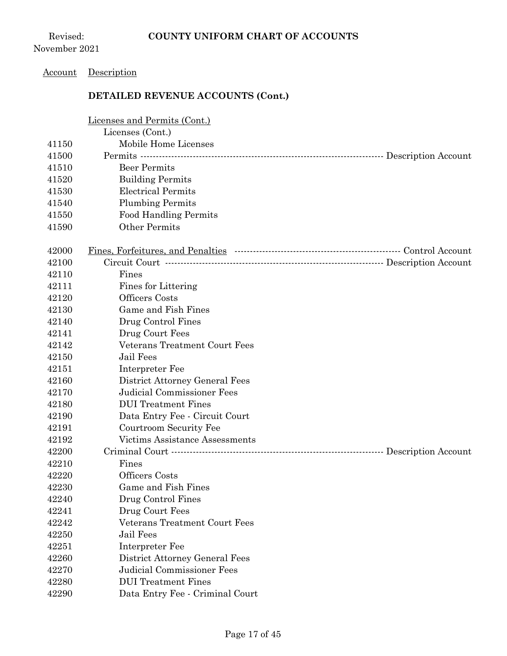Revised: November 2021

#### Account Description

|       | Licenses and Permits (Cont.)    |
|-------|---------------------------------|
|       | Licenses (Cont.)                |
| 41150 | Mobile Home Licenses            |
| 41500 |                                 |
| 41510 | <b>Beer Permits</b>             |
| 41520 | <b>Building Permits</b>         |
| 41530 | <b>Electrical Permits</b>       |
| 41540 | <b>Plumbing Permits</b>         |
| 41550 | <b>Food Handling Permits</b>    |
| 41590 | Other Permits                   |
| 42000 |                                 |
| 42100 |                                 |
| 42110 | Fines                           |
| 42111 | Fines for Littering             |
| 42120 | <b>Officers</b> Costs           |
| 42130 | Game and Fish Fines             |
| 42140 | Drug Control Fines              |
| 42141 | Drug Court Fees                 |
| 42142 | Veterans Treatment Court Fees   |
| 42150 | <b>Jail Fees</b>                |
| 42151 | Interpreter Fee                 |
| 42160 | District Attorney General Fees  |
| 42170 | Judicial Commissioner Fees      |
| 42180 | <b>DUI</b> Treatment Fines      |
| 42190 | Data Entry Fee - Circuit Court  |
| 42191 | Courtroom Security Fee          |
| 42192 | Victims Assistance Assessments  |
| 42200 |                                 |
| 42210 | Fines                           |
| 42220 | Officers Costs                  |
| 42230 | Game and Fish Fines             |
| 42240 | Drug Control Fines              |
| 42241 | Drug Court Fees                 |
| 42242 | Veterans Treatment Court Fees   |
| 42250 | Jail Fees                       |
| 42251 | Interpreter Fee                 |
| 42260 | District Attorney General Fees  |
| 42270 | Judicial Commissioner Fees      |
| 42280 | <b>DUI</b> Treatment Fines      |
| 42290 | Data Entry Fee - Criminal Court |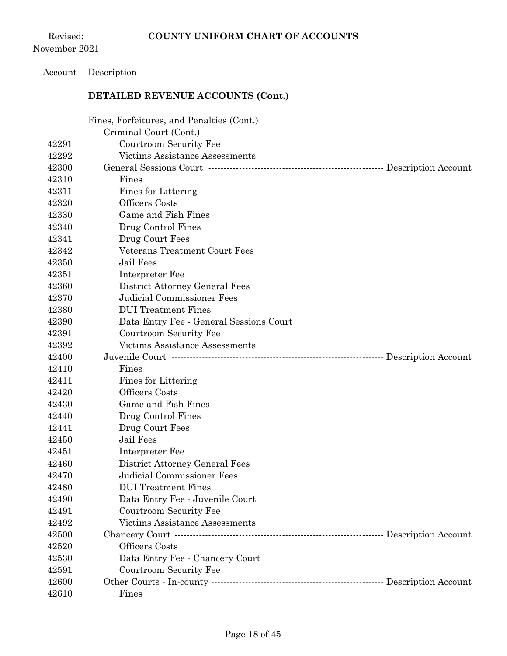#### Account Description

|       | Fines, Forfeitures, and Penalties (Cont.)                       |  |
|-------|-----------------------------------------------------------------|--|
|       | Criminal Court (Cont.)                                          |  |
| 42291 | Courtroom Security Fee                                          |  |
| 42292 | Victims Assistance Assessments                                  |  |
| 42300 |                                                                 |  |
| 42310 | Fines                                                           |  |
| 42311 | Fines for Littering                                             |  |
| 42320 | Officers Costs                                                  |  |
| 42330 | Game and Fish Fines                                             |  |
| 42340 | Drug Control Fines                                              |  |
| 42341 | Drug Court Fees                                                 |  |
| 42342 | Veterans Treatment Court Fees                                   |  |
| 42350 | Jail Fees                                                       |  |
| 42351 | Interpreter Fee                                                 |  |
| 42360 | District Attorney General Fees                                  |  |
| 42370 | Judicial Commissioner Fees                                      |  |
| 42380 | <b>DUI</b> Treatment Fines                                      |  |
| 42390 | Data Entry Fee - General Sessions Court                         |  |
| 42391 | Courtroom Security Fee                                          |  |
| 42392 | Victims Assistance Assessments                                  |  |
| 42400 | Juvenile Court ………………………………………………………………………… Description Account |  |
| 42410 | Fines                                                           |  |
| 42411 | Fines for Littering                                             |  |
| 42420 | Officers Costs                                                  |  |
| 42430 | Game and Fish Fines                                             |  |
| 42440 | Drug Control Fines                                              |  |
| 42441 | Drug Court Fees                                                 |  |
| 42450 | Jail Fees                                                       |  |
| 42451 | Interpreter Fee                                                 |  |
| 42460 | District Attorney General Fees                                  |  |
| 42470 | <b>Judicial Commissioner Fees</b>                               |  |
| 42480 | <b>DUI</b> Treatment Fines                                      |  |
| 42490 | Data Entry Fee - Juvenile Court                                 |  |
| 42491 | Courtroom Security Fee                                          |  |
| 42492 | Victims Assistance Assessments                                  |  |
| 42500 |                                                                 |  |
| 42520 | Officers Costs                                                  |  |
|       |                                                                 |  |
| 42530 | Data Entry Fee - Chancery Court                                 |  |
| 42591 | Courtroom Security Fee                                          |  |
| 42600 |                                                                 |  |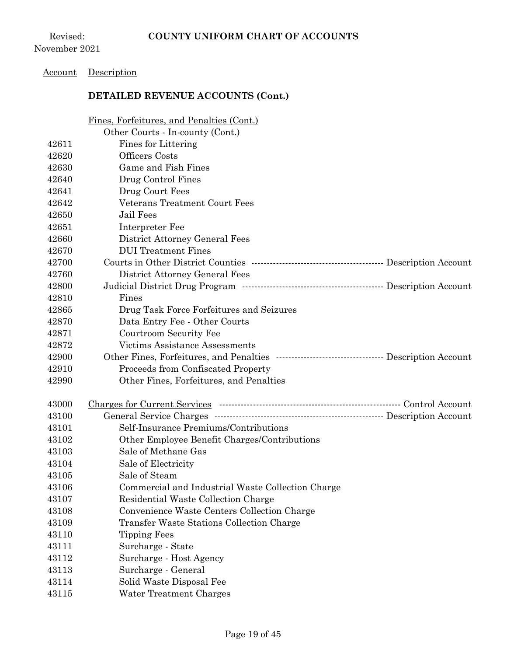### Account Description

|       | Fines, Forfeitures, and Penalties (Cont.)                                     |  |
|-------|-------------------------------------------------------------------------------|--|
|       | Other Courts - In-county (Cont.)                                              |  |
| 42611 | Fines for Littering                                                           |  |
| 42620 | Officers Costs                                                                |  |
| 42630 | Game and Fish Fines                                                           |  |
| 42640 | Drug Control Fines                                                            |  |
| 42641 | Drug Court Fees                                                               |  |
| 42642 | Veterans Treatment Court Fees                                                 |  |
| 42650 | <b>Jail Fees</b>                                                              |  |
| 42651 | Interpreter Fee                                                               |  |
| 42660 | District Attorney General Fees                                                |  |
| 42670 | <b>DUI</b> Treatment Fines                                                    |  |
| 42700 |                                                                               |  |
| 42760 | District Attorney General Fees                                                |  |
| 42800 |                                                                               |  |
| 42810 | Fines                                                                         |  |
| 42865 | Drug Task Force Forfeitures and Seizures                                      |  |
| 42870 | Data Entry Fee - Other Courts                                                 |  |
| 42871 | Courtroom Security Fee                                                        |  |
| 42872 | <b>Victims Assistance Assessments</b>                                         |  |
| 42900 | Other Fines, Forfeitures, and Penalties …………………………………………… Description Account |  |
| 42910 | Proceeds from Confiscated Property                                            |  |
| 42990 | Other Fines, Forfeitures, and Penalties                                       |  |
|       |                                                                               |  |
| 43000 |                                                                               |  |
| 43100 | General Service Charges ………………………………………………………… Description Account            |  |
| 43101 | Self-Insurance Premiums/Contributions                                         |  |
| 43102 | Other Employee Benefit Charges/Contributions                                  |  |
| 43103 | Sale of Methane Gas                                                           |  |
| 43104 | Sale of Electricity                                                           |  |
| 43105 | Sale of Steam                                                                 |  |
| 43106 | Commercial and Industrial Waste Collection Charge                             |  |
| 43107 | Residential Waste Collection Charge                                           |  |
| 43108 | Convenience Waste Centers Collection Charge                                   |  |
| 43109 | Transfer Waste Stations Collection Charge                                     |  |
| 43110 | <b>Tipping Fees</b>                                                           |  |
| 43111 | Surcharge - State                                                             |  |
| 43112 | Surcharge - Host Agency                                                       |  |
| 43113 | Surcharge - General                                                           |  |
| 43114 | Solid Waste Disposal Fee                                                      |  |
| 43115 | Water Treatment Charges                                                       |  |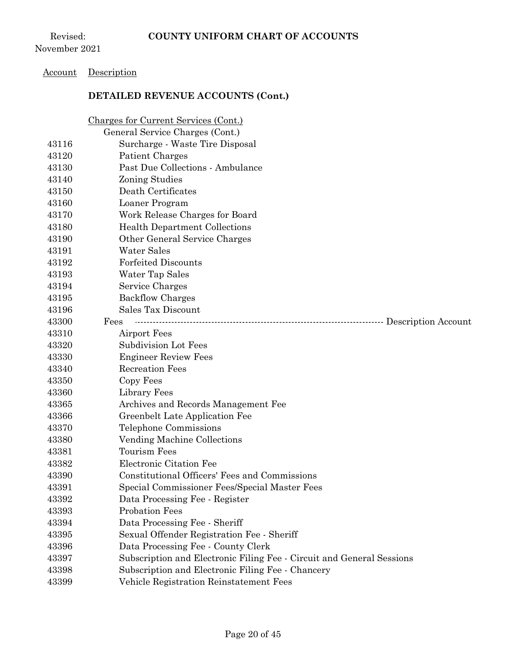## Account Description

|       | Charges for Current Services (Cont.)                                  |
|-------|-----------------------------------------------------------------------|
|       | General Service Charges (Cont.)                                       |
| 43116 | Surcharge - Waste Tire Disposal                                       |
| 43120 | Patient Charges                                                       |
| 43130 | Past Due Collections - Ambulance                                      |
| 43140 | Zoning Studies                                                        |
| 43150 | Death Certificates                                                    |
| 43160 | Loaner Program                                                        |
| 43170 | Work Release Charges for Board                                        |
| 43180 | <b>Health Department Collections</b>                                  |
| 43190 | Other General Service Charges                                         |
| 43191 | Water Sales                                                           |
| 43192 | <b>Forfeited Discounts</b>                                            |
| 43193 | Water Tap Sales                                                       |
| 43194 | Service Charges                                                       |
| 43195 | <b>Backflow Charges</b>                                               |
| 43196 | Sales Tax Discount                                                    |
| 43300 | Fees<br>-- Description Account                                        |
| 43310 | Airport Fees                                                          |
| 43320 | Subdivision Lot Fees                                                  |
| 43330 | <b>Engineer Review Fees</b>                                           |
| 43340 | <b>Recreation Fees</b>                                                |
| 43350 | Copy Fees                                                             |
| 43360 | Library Fees                                                          |
| 43365 | Archives and Records Management Fee                                   |
| 43366 | Greenbelt Late Application Fee                                        |
| 43370 | Telephone Commissions                                                 |
| 43380 | Vending Machine Collections                                           |
| 43381 | <b>Tourism Fees</b>                                                   |
| 43382 | Electronic Citation Fee                                               |
| 43390 | Constitutional Officers' Fees and Commissions                         |
| 43391 | Special Commissioner Fees/Special Master Fees                         |
| 43392 | Data Processing Fee - Register                                        |
| 43393 | <b>Probation Fees</b>                                                 |
| 43394 | Data Processing Fee - Sheriff                                         |
| 43395 | Sexual Offender Registration Fee - Sheriff                            |
| 43396 | Data Processing Fee - County Clerk                                    |
| 43397 | Subscription and Electronic Filing Fee - Circuit and General Sessions |
| 43398 | Subscription and Electronic Filing Fee - Chancery                     |
| 43399 | Vehicle Registration Reinstatement Fees                               |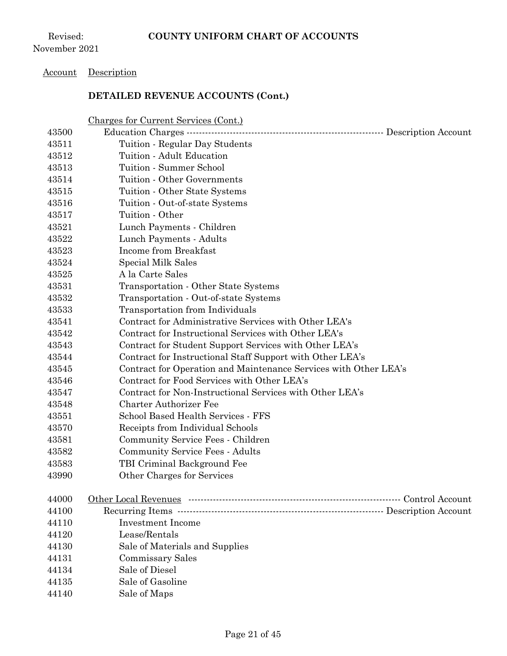#### Account Description

|       | <u>Charges for Current Services (Cont.)</u>                      |
|-------|------------------------------------------------------------------|
| 43500 | Education Charges -<br>- Description Account                     |
| 43511 | Tuition - Regular Day Students                                   |
| 43512 | Tuition - Adult Education                                        |
| 43513 | Tuition - Summer School                                          |
| 43514 | Tuition - Other Governments                                      |
| 43515 | Tuition - Other State Systems                                    |
| 43516 | Tuition - Out-of-state Systems                                   |
| 43517 | Tuition - Other                                                  |
| 43521 | Lunch Payments - Children                                        |
| 43522 | Lunch Payments - Adults                                          |
| 43523 | Income from Breakfast                                            |
| 43524 | Special Milk Sales                                               |
| 43525 | A la Carte Sales                                                 |
| 43531 | Transportation - Other State Systems                             |
| 43532 | Transportation - Out-of-state Systems                            |
| 43533 | Transportation from Individuals                                  |
| 43541 | Contract for Administrative Services with Other LEA's            |
| 43542 | Contract for Instructional Services with Other LEA's             |
| 43543 | Contract for Student Support Services with Other LEA's           |
| 43544 | Contract for Instructional Staff Support with Other LEA's        |
| 43545 | Contract for Operation and Maintenance Services with Other LEA's |
| 43546 | Contract for Food Services with Other LEA's                      |
| 43547 | Contract for Non-Instructional Services with Other LEA's         |
| 43548 | <b>Charter Authorizer Fee</b>                                    |
| 43551 | School Based Health Services - FFS                               |
| 43570 | Receipts from Individual Schools                                 |
| 43581 | Community Service Fees - Children                                |
| 43582 | <b>Community Service Fees - Adults</b>                           |
| 43583 | TBI Criminal Background Fee                                      |
| 43990 | Other Charges for Services                                       |
|       |                                                                  |
| 44000 |                                                                  |
| 44100 |                                                                  |
| 44110 | <b>Investment Income</b>                                         |
| 44120 | Lease/Rentals                                                    |
| 44130 | Sale of Materials and Supplies                                   |
| 44131 | Commissary Sales                                                 |
| 44134 | Sale of Diesel                                                   |
| 44135 | Sale of Gasoline                                                 |
| 44140 | Sale of Maps                                                     |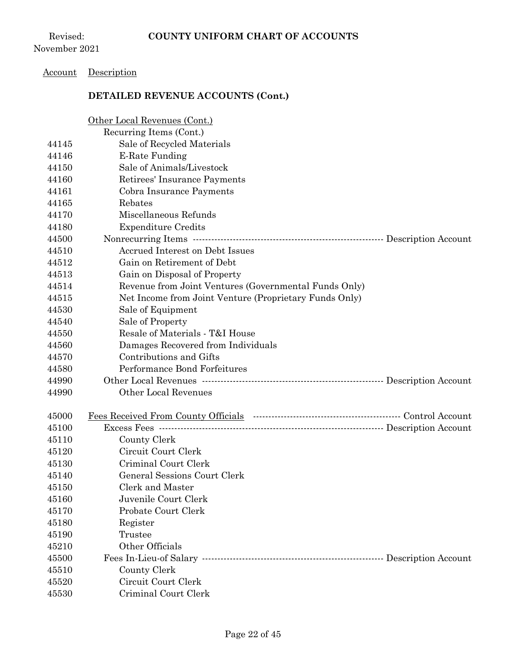### Account Description

|       | Other Local Revenues (Cont.)                                     |  |
|-------|------------------------------------------------------------------|--|
|       | Recurring Items (Cont.)                                          |  |
| 44145 | Sale of Recycled Materials                                       |  |
| 44146 | E-Rate Funding                                                   |  |
| 44150 | Sale of Animals/Livestock                                        |  |
| 44160 | Retirees' Insurance Payments                                     |  |
| 44161 | Cobra Insurance Payments                                         |  |
| 44165 | Rebates                                                          |  |
| 44170 | Miscellaneous Refunds                                            |  |
| 44180 | <b>Expenditure Credits</b>                                       |  |
| 44500 |                                                                  |  |
| 44510 | Accrued Interest on Debt Issues                                  |  |
| 44512 | Gain on Retirement of Debt                                       |  |
| 44513 | Gain on Disposal of Property                                     |  |
| 44514 | Revenue from Joint Ventures (Governmental Funds Only)            |  |
| 44515 | Net Income from Joint Venture (Proprietary Funds Only)           |  |
| 44530 | Sale of Equipment                                                |  |
| 44540 | Sale of Property                                                 |  |
| 44550 | Resale of Materials - T&I House                                  |  |
| 44560 | Damages Recovered from Individuals                               |  |
| 44570 | Contributions and Gifts                                          |  |
| 44580 | Performance Bond Forfeitures                                     |  |
| 44990 | Other Local Revenues …………………………………………………………… Description Account |  |
| 44990 | <b>Other Local Revenues</b>                                      |  |
|       |                                                                  |  |
| 45000 |                                                                  |  |
| 45100 | Excess Fees ………………………………………………………………………… Description Account     |  |
| 45110 | County Clerk                                                     |  |
| 45120 | Circuit Court Clerk                                              |  |
| 45130 | Criminal Court Clerk                                             |  |
| 45140 | <b>General Sessions Court Clerk</b>                              |  |
| 45150 | Clerk and Master                                                 |  |
| 45160 | Juvenile Court Clerk                                             |  |
| 45170 | Probate Court Clerk                                              |  |
| 45180 | Register                                                         |  |
| 45190 | Trustee                                                          |  |
| 45210 | Other Officials                                                  |  |
| 45500 |                                                                  |  |
| 45510 | County Clerk                                                     |  |
| 45520 | Circuit Court Clerk                                              |  |
| 45530 | Criminal Court Clerk                                             |  |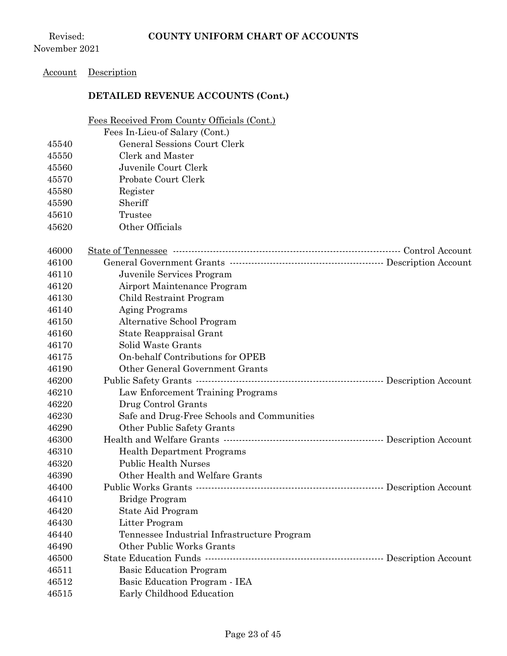Revised: November 2021

## Account Description

### **DETAILED REVENUE ACCOUNTS (Cont.)**

Fees Received From County Officials (Cont.)

|       | Fees In-Lieu-of Salary (Cont.)                                      |  |
|-------|---------------------------------------------------------------------|--|
| 45540 | General Sessions Court Clerk                                        |  |
| 45550 | Clerk and Master                                                    |  |
| 45560 | Juvenile Court Clerk                                                |  |
| 45570 | Probate Court Clerk                                                 |  |
| 45580 | Register                                                            |  |
| 45590 | Sheriff                                                             |  |
| 45610 | Trustee                                                             |  |
| 45620 | Other Officials                                                     |  |
|       |                                                                     |  |
| 46000 |                                                                     |  |
| 46100 |                                                                     |  |
| 46110 | Juvenile Services Program                                           |  |
| 46120 | Airport Maintenance Program                                         |  |
| 46130 | Child Restraint Program                                             |  |
| 46140 | <b>Aging Programs</b>                                               |  |
| 46150 | Alternative School Program                                          |  |
| 46160 | State Reappraisal Grant                                             |  |
| 46170 | Solid Waste Grants                                                  |  |
| 46175 | On-behalf Contributions for OPEB                                    |  |
| 46190 | Other General Government Grants                                     |  |
| 46200 |                                                                     |  |
| 46210 | Law Enforcement Training Programs                                   |  |
| 46220 | Drug Control Grants                                                 |  |
| 46230 | Safe and Drug-Free Schools and Communities                          |  |
| 46290 | Other Public Safety Grants                                          |  |
| 46300 |                                                                     |  |
| 46310 | <b>Health Department Programs</b>                                   |  |
| 46320 | <b>Public Health Nurses</b>                                         |  |
| 46390 | Other Health and Welfare Grants                                     |  |
| 46400 | Public Works Grants ……………………………………………………………………… Description Account |  |
| 46410 | Bridge Program                                                      |  |
| 46420 | State Aid Program                                                   |  |
| 46430 | Litter Program                                                      |  |
| 46440 | Tennessee Industrial Infrastructure Program                         |  |
| 46490 | Other Public Works Grants                                           |  |
| 46500 | State Education Funds ………………………………………………………… Description Account    |  |
| 46511 | <b>Basic Education Program</b>                                      |  |
| 46512 | Basic Education Program - IEA                                       |  |
| 46515 | Early Childhood Education                                           |  |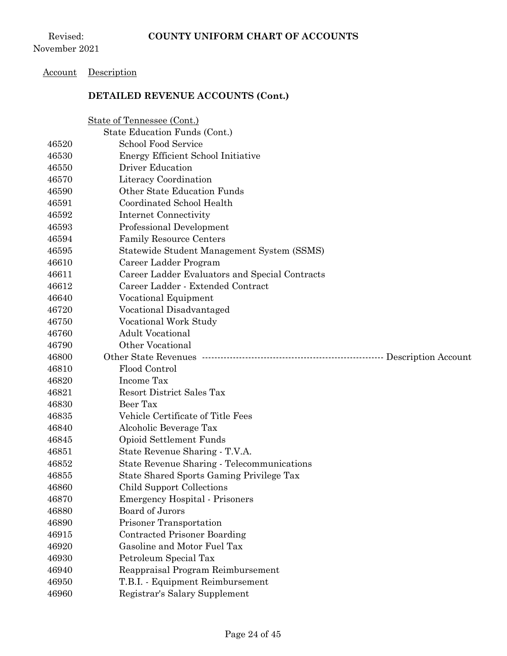#### Account Description

|                | State of Tennessee (Cont.)                                        |  |
|----------------|-------------------------------------------------------------------|--|
|                | State Education Funds (Cont.)                                     |  |
| 46520          | <b>School Food Service</b>                                        |  |
| 46530          | Energy Efficient School Initiative                                |  |
| 46550          | <b>Driver Education</b>                                           |  |
| 46570          | Literacy Coordination                                             |  |
| 46590          | Other State Education Funds                                       |  |
| 46591          | Coordinated School Health                                         |  |
| 46592          | Internet Connectivity                                             |  |
| 46593          | Professional Development                                          |  |
| 46594          | <b>Family Resource Centers</b>                                    |  |
| 46595          | Statewide Student Management System (SSMS)                        |  |
| 46610          | Career Ladder Program                                             |  |
| 46611          | Career Ladder Evaluators and Special Contracts                    |  |
| 46612          | Career Ladder - Extended Contract                                 |  |
| 46640          | Vocational Equipment                                              |  |
| 46720          | Vocational Disadvantaged                                          |  |
| 46750          | Vocational Work Study                                             |  |
| 46760          | <b>Adult Vocational</b>                                           |  |
| 46790          | Other Vocational                                                  |  |
|                |                                                                   |  |
| 46800          |                                                                   |  |
| 46810          | Flood Control                                                     |  |
| 46820          | Income Tax                                                        |  |
| 46821          | <b>Resort District Sales Tax</b>                                  |  |
| 46830          | Beer Tax                                                          |  |
| 46835          | Vehicle Certificate of Title Fees                                 |  |
| 46840          | Alcoholic Beverage Tax                                            |  |
| 46845          | Opioid Settlement Funds                                           |  |
| 46851          | State Revenue Sharing - T.V.A.                                    |  |
| 46852          | State Revenue Sharing - Telecommunications                        |  |
| 46855          | State Shared Sports Gaming Privilege Tax                          |  |
| 46860          | Child Support Collections                                         |  |
| 46870          | <b>Emergency Hospital - Prisoners</b>                             |  |
| 46880          | Board of Jurors                                                   |  |
| 46890          | Prisoner Transportation                                           |  |
| 46915          | Contracted Prisoner Boarding                                      |  |
| 46920          | Gasoline and Motor Fuel Tax                                       |  |
| 46930          | Petroleum Special Tax                                             |  |
| 46940          | Reappraisal Program Reimbursement                                 |  |
| 46950<br>46960 | T.B.I. - Equipment Reimbursement<br>Registrar's Salary Supplement |  |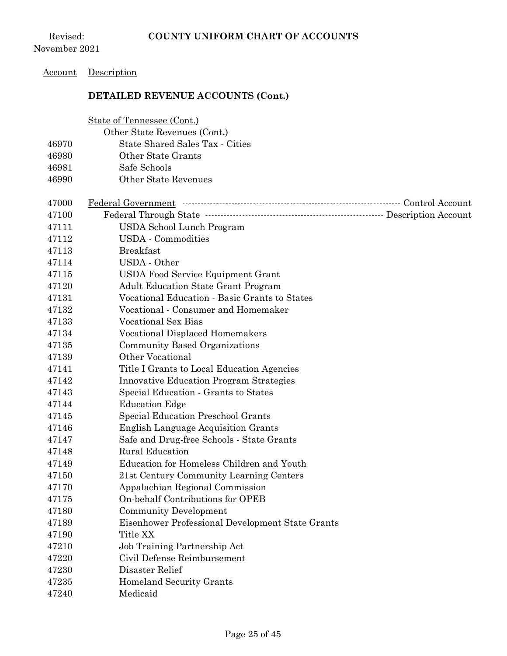Revised: November 2021

## Account Description

|       | State of Tennessee (Cont.)                       |
|-------|--------------------------------------------------|
|       | Other State Revenues (Cont.)                     |
| 46970 | State Shared Sales Tax - Cities                  |
| 46980 | Other State Grants                               |
| 46981 | Safe Schools                                     |
| 46990 | <b>Other State Revenues</b>                      |
|       |                                                  |
| 47000 |                                                  |
| 47100 |                                                  |
| 47111 | USDA School Lunch Program                        |
| 47112 | <b>USDA</b> - Commodities                        |
| 47113 | <b>Breakfast</b>                                 |
| 47114 | USDA - Other                                     |
| 47115 | <b>USDA Food Service Equipment Grant</b>         |
| 47120 | <b>Adult Education State Grant Program</b>       |
| 47131 | Vocational Education - Basic Grants to States    |
| 47132 | Vocational - Consumer and Homemaker              |
| 47133 | <b>Vocational Sex Bias</b>                       |
| 47134 | <b>Vocational Displaced Homemakers</b>           |
| 47135 | Community Based Organizations                    |
| 47139 | Other Vocational                                 |
| 47141 | Title I Grants to Local Education Agencies       |
| 47142 | <b>Innovative Education Program Strategies</b>   |
| 47143 | Special Education - Grants to States             |
| 47144 | <b>Education Edge</b>                            |
| 47145 | Special Education Preschool Grants               |
| 47146 | <b>English Language Acquisition Grants</b>       |
| 47147 | Safe and Drug-free Schools - State Grants        |
| 47148 | <b>Rural Education</b>                           |
| 47149 | Education for Homeless Children and Youth        |
| 47150 | 21st Century Community Learning Centers          |
| 47170 | Appalachian Regional Commission                  |
| 47175 | On-behalf Contributions for OPEB                 |
| 47180 | <b>Community Development</b>                     |
| 47189 | Eisenhower Professional Development State Grants |
| 47190 | Title XX                                         |
| 47210 | Job Training Partnership Act                     |
| 47220 | Civil Defense Reimbursement                      |
| 47230 | Disaster Relief                                  |
| 47235 | <b>Homeland Security Grants</b>                  |
| 47240 | Medicaid                                         |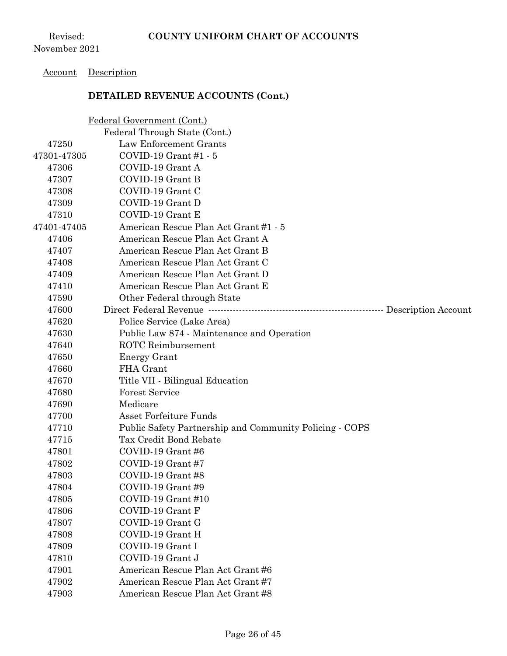#### Account Description

|             | Federal Government (Cont.)                              |
|-------------|---------------------------------------------------------|
|             | Federal Through State (Cont.)                           |
| 47250       | Law Enforcement Grants                                  |
| 47301-47305 | COVID-19 Grant #1 - 5                                   |
| 47306       | COVID-19 Grant A                                        |
| 47307       | COVID-19 Grant B                                        |
| 47308       | COVID-19 Grant C                                        |
| 47309       | COVID-19 Grant D                                        |
| 47310       | COVID-19 Grant E                                        |
| 47401-47405 | American Rescue Plan Act Grant #1 - 5                   |
| 47406       | American Rescue Plan Act Grant A                        |
| 47407       | American Rescue Plan Act Grant B                        |
| 47408       | American Rescue Plan Act Grant C                        |
| 47409       | American Rescue Plan Act Grant D                        |
| 47410       | American Rescue Plan Act Grant E                        |
| 47590       | Other Federal through State                             |
| 47600       |                                                         |
| 47620       | Police Service (Lake Area)                              |
| 47630       | Public Law 874 - Maintenance and Operation              |
| 47640       | <b>ROTC</b> Reimbursement                               |
| 47650       | Energy Grant                                            |
| 47660       | FHA Grant                                               |
| 47670       | Title VII - Bilingual Education                         |
| 47680       | <b>Forest Service</b>                                   |
| 47690       | Medicare                                                |
| 47700       | Asset Forfeiture Funds                                  |
| 47710       | Public Safety Partnership and Community Policing - COPS |
| 47715       | Tax Credit Bond Rebate                                  |
| 47801       | COVID-19 Grant #6                                       |
| 47802       | COVID-19 Grant #7                                       |
| 47803       | COVID-19 Grant #8                                       |
| 47804       | COVID-19 Grant #9                                       |
| 47805       | COVID-19 Grant #10                                      |
| 47806       | COVID-19 Grant F                                        |
| 47807       | COVID-19 Grant G                                        |
| 47808       | COVID-19 Grant H                                        |
| 47809       | COVID-19 Grant I                                        |
| 47810       | COVID-19 Grant J                                        |
| 47901       | American Rescue Plan Act Grant #6                       |
| 47902       | American Rescue Plan Act Grant #7                       |
| 47903       | American Rescue Plan Act Grant #8                       |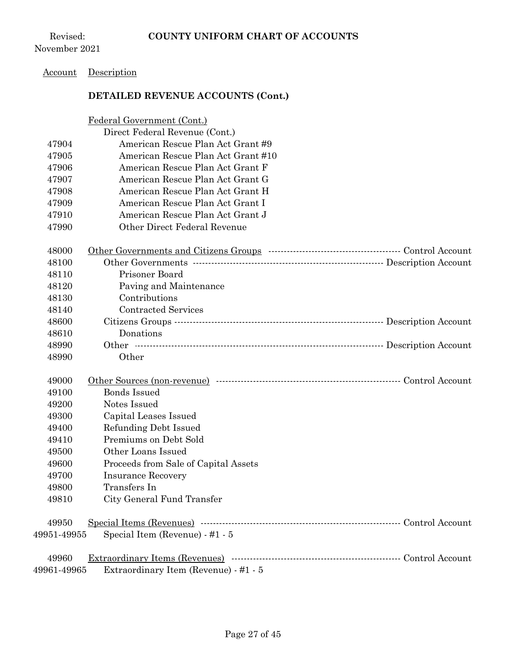## Account Description

|             | Federal Government (Cont.)            |  |
|-------------|---------------------------------------|--|
|             | Direct Federal Revenue (Cont.)        |  |
| 47904       | American Rescue Plan Act Grant #9     |  |
| 47905       | American Rescue Plan Act Grant #10    |  |
| 47906       | American Rescue Plan Act Grant F      |  |
| 47907       | American Rescue Plan Act Grant G      |  |
| 47908       | American Rescue Plan Act Grant H      |  |
| 47909       | American Rescue Plan Act Grant I      |  |
| 47910       | American Rescue Plan Act Grant J      |  |
| 47990       | Other Direct Federal Revenue          |  |
| 48000       |                                       |  |
| 48100       |                                       |  |
| 48110       | Prisoner Board                        |  |
| 48120       | Paving and Maintenance                |  |
| 48130       | Contributions                         |  |
| 48140       | <b>Contracted Services</b>            |  |
| 48600       |                                       |  |
| 48610       | Donations                             |  |
| 48990       |                                       |  |
| 48990       | Other                                 |  |
| 49000       |                                       |  |
| 49100       | <b>Bonds Issued</b>                   |  |
| 49200       | Notes Issued                          |  |
| 49300       | Capital Leases Issued                 |  |
| 49400       | Refunding Debt Issued                 |  |
| 49410       | Premiums on Debt Sold                 |  |
| 49500       | Other Loans Issued                    |  |
| 49600       | Proceeds from Sale of Capital Assets  |  |
| 49700       | <b>Insurance Recovery</b>             |  |
| 49800       | Transfers In                          |  |
| 49810       | City General Fund Transfer            |  |
| 49950       |                                       |  |
| 49951-49955 | Special Item (Revenue) - #1 - 5       |  |
| 49960       |                                       |  |
| 49961-49965 | Extraordinary Item (Revenue) - #1 - 5 |  |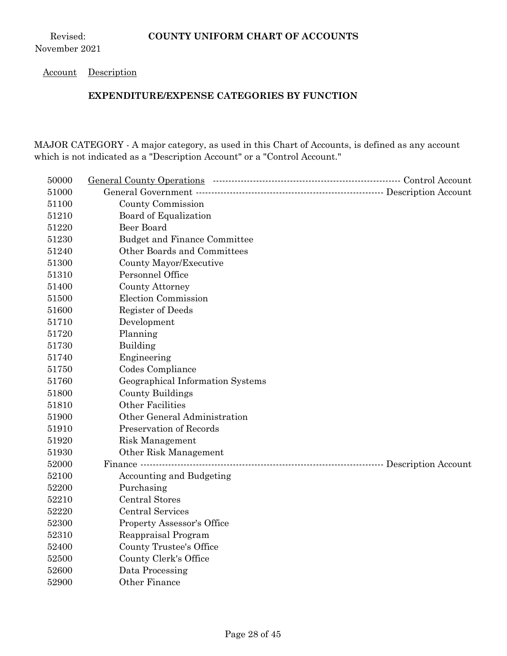#### Account Description

#### **EXPENDITURE/EXPENSE CATEGORIES BY FUNCTION**

MAJOR CATEGORY - A major category, as used in this Chart of Accounts, is defined as any account which is not indicated as a "Description Account" or a "Control Account."

| 50000 |                                     |  |
|-------|-------------------------------------|--|
| 51000 |                                     |  |
| 51100 | County Commission                   |  |
| 51210 | Board of Equalization               |  |
| 51220 | <b>Beer Board</b>                   |  |
| 51230 | <b>Budget and Finance Committee</b> |  |
| 51240 | Other Boards and Committees         |  |
| 51300 | County Mayor/Executive              |  |
| 51310 | Personnel Office                    |  |
| 51400 | County Attorney                     |  |
| 51500 | <b>Election Commission</b>          |  |
| 51600 | Register of Deeds                   |  |
| 51710 | Development                         |  |
| 51720 | Planning                            |  |
| 51730 | Building                            |  |
| 51740 | Engineering                         |  |
| 51750 | Codes Compliance                    |  |
| 51760 | Geographical Information Systems    |  |
| 51800 | County Buildings                    |  |
| 51810 | <b>Other Facilities</b>             |  |
| 51900 | Other General Administration        |  |
| 51910 | Preservation of Records             |  |
| 51920 | Risk Management                     |  |
| 51930 | Other Risk Management               |  |
| 52000 |                                     |  |
| 52100 | <b>Accounting and Budgeting</b>     |  |
| 52200 | Purchasing                          |  |
| 52210 | <b>Central Stores</b>               |  |
| 52220 | <b>Central Services</b>             |  |
| 52300 | <b>Property Assessor's Office</b>   |  |
| 52310 | Reappraisal Program                 |  |
| 52400 | County Trustee's Office             |  |
| 52500 | County Clerk's Office               |  |
| 52600 | Data Processing                     |  |
| 52900 | Other Finance                       |  |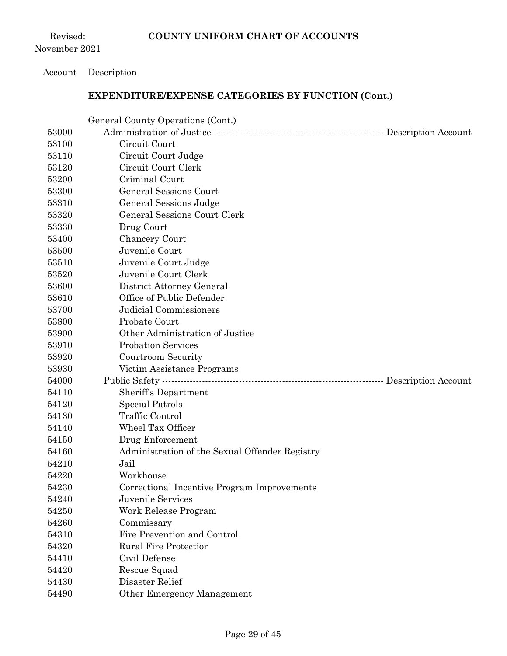Revised: November 2021

#### Account Description

|       | <b>General County Operations (Cont.)</b>                         |  |
|-------|------------------------------------------------------------------|--|
| 53000 |                                                                  |  |
| 53100 | Circuit Court                                                    |  |
| 53110 | Circuit Court Judge                                              |  |
| 53120 | Circuit Court Clerk                                              |  |
| 53200 | Criminal Court                                                   |  |
| 53300 | <b>General Sessions Court</b>                                    |  |
| 53310 | General Sessions Judge                                           |  |
| 53320 | General Sessions Court Clerk                                     |  |
| 53330 | Drug Court                                                       |  |
| 53400 | Chancery Court                                                   |  |
| 53500 | Juvenile Court                                                   |  |
| 53510 | Juvenile Court Judge                                             |  |
| 53520 | Juvenile Court Clerk                                             |  |
| 53600 | District Attorney General                                        |  |
| 53610 | Office of Public Defender                                        |  |
| 53700 | Judicial Commissioners                                           |  |
| 53800 | Probate Court                                                    |  |
| 53900 | Other Administration of Justice                                  |  |
| 53910 | <b>Probation Services</b>                                        |  |
| 53920 | Courtroom Security                                               |  |
| 53930 | Victim Assistance Programs                                       |  |
| 54000 | Public Safety ……………………………………………………………………………… Description Account |  |
| 54110 | Sheriff's Department                                             |  |
| 54120 | Special Patrols                                                  |  |
| 54130 | <b>Traffic Control</b>                                           |  |
| 54140 | <b>Wheel Tax Officer</b>                                         |  |
| 54150 | Drug Enforcement                                                 |  |
| 54160 | Administration of the Sexual Offender Registry                   |  |
| 54210 | Jail                                                             |  |
| 54220 | Workhouse                                                        |  |
| 54230 | Correctional Incentive Program Improvements                      |  |
| 54240 | Juvenile Services                                                |  |
| 54250 | Work Release Program                                             |  |
| 54260 | Commissary                                                       |  |
| 54310 | Fire Prevention and Control                                      |  |
| 54320 | <b>Rural Fire Protection</b>                                     |  |
| 54410 | Civil Defense                                                    |  |
| 54420 | Rescue Squad                                                     |  |
| 54430 | Disaster Relief                                                  |  |
| 54490 | Other Emergency Management                                       |  |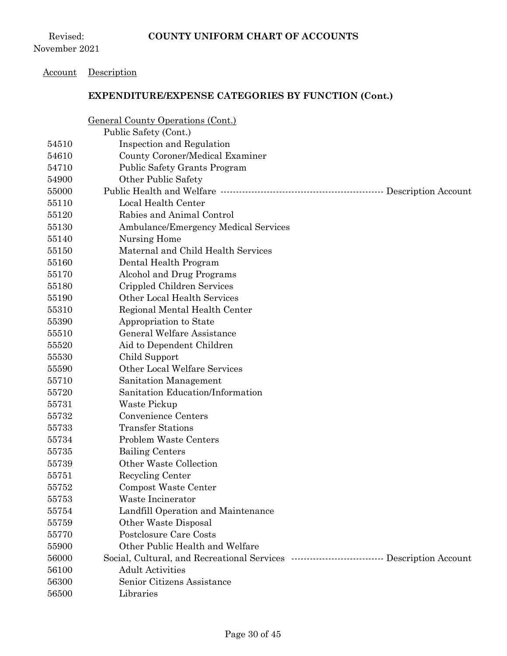Revised: November 2021

#### Account Description

|       | <u>General County Operations (Cont.)</u>                                       |  |
|-------|--------------------------------------------------------------------------------|--|
|       | Public Safety (Cont.)                                                          |  |
| 54510 | Inspection and Regulation                                                      |  |
| 54610 | County Coroner/Medical Examiner                                                |  |
| 54710 | <b>Public Safety Grants Program</b>                                            |  |
| 54900 | Other Public Safety                                                            |  |
| 55000 |                                                                                |  |
| 55110 | Local Health Center                                                            |  |
| 55120 | Rabies and Animal Control                                                      |  |
| 55130 | Ambulance/Emergency Medical Services                                           |  |
| 55140 | Nursing Home                                                                   |  |
| 55150 | Maternal and Child Health Services                                             |  |
| 55160 | Dental Health Program                                                          |  |
| 55170 | Alcohol and Drug Programs                                                      |  |
| 55180 | Crippled Children Services                                                     |  |
| 55190 | Other Local Health Services                                                    |  |
| 55310 | Regional Mental Health Center                                                  |  |
| 55390 | Appropriation to State                                                         |  |
| 55510 | General Welfare Assistance                                                     |  |
| 55520 | Aid to Dependent Children                                                      |  |
| 55530 | Child Support                                                                  |  |
| 55590 | Other Local Welfare Services                                                   |  |
| 55710 | Sanitation Management                                                          |  |
| 55720 | Sanitation Education/Information                                               |  |
| 55731 | Waste Pickup                                                                   |  |
| 55732 | Convenience Centers                                                            |  |
| 55733 | <b>Transfer Stations</b>                                                       |  |
| 55734 | <b>Problem Waste Centers</b>                                                   |  |
| 55735 | <b>Bailing Centers</b>                                                         |  |
| 55739 | Other Waste Collection                                                         |  |
| 55751 | Recycling Center                                                               |  |
| 55752 | Compost Waste Center                                                           |  |
| 55753 | Waste Incinerator                                                              |  |
| 55754 | Landfill Operation and Maintenance                                             |  |
| 55759 | Other Waste Disposal                                                           |  |
| 55770 | Postclosure Care Costs                                                         |  |
| 55900 | Other Public Health and Welfare                                                |  |
| 56000 | Social, Cultural, and Recreational Services …………………………………… Description Account |  |
| 56100 | <b>Adult Activities</b>                                                        |  |
| 56300 | Senior Citizens Assistance                                                     |  |
| 56500 | Libraries                                                                      |  |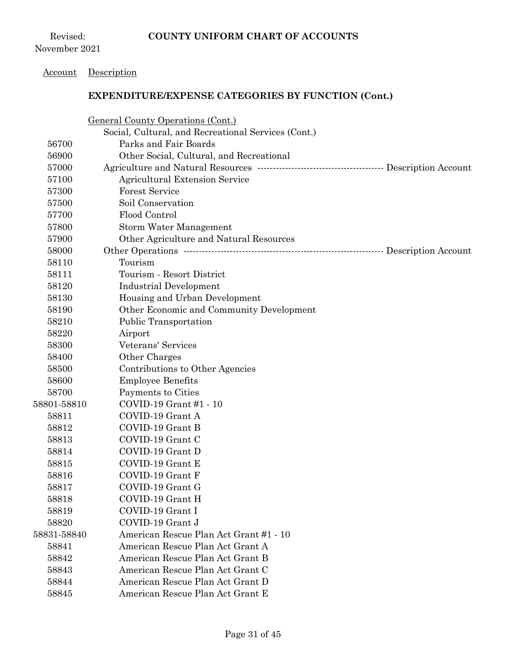#### Account Description

|             | <b>General County Operations (Cont.)</b>                                   |  |
|-------------|----------------------------------------------------------------------------|--|
|             | Social, Cultural, and Recreational Services (Cont.)                        |  |
| 56700       | Parks and Fair Boards                                                      |  |
| 56900       | Other Social, Cultural, and Recreational                                   |  |
| 57000       | Agriculture and Natural Resources …………………………………………………… Description Account |  |
| 57100       | <b>Agricultural Extension Service</b>                                      |  |
| 57300       | <b>Forest Service</b>                                                      |  |
| 57500       | Soil Conservation                                                          |  |
| 57700       | Flood Control                                                              |  |
| 57800       | Storm Water Management                                                     |  |
| 57900       | Other Agriculture and Natural Resources                                    |  |
| 58000       |                                                                            |  |
| 58110       | Tourism                                                                    |  |
| 58111       | Tourism - Resort District                                                  |  |
| 58120       | <b>Industrial Development</b>                                              |  |
| 58130       | Housing and Urban Development                                              |  |
| 58190       | Other Economic and Community Development                                   |  |
| 58210       | <b>Public Transportation</b>                                               |  |
| 58220       | Airport                                                                    |  |
| 58300       | Veterans' Services                                                         |  |
| 58400       | Other Charges                                                              |  |
| 58500       | Contributions to Other Agencies                                            |  |
| 58600       | <b>Employee Benefits</b>                                                   |  |
| 58700       | Payments to Cities                                                         |  |
| 58801-58810 | COVID-19 Grant #1 - 10                                                     |  |
| 58811       | COVID-19 Grant A                                                           |  |
| 58812       | COVID-19 Grant B                                                           |  |
| 58813       | COVID-19 Grant C                                                           |  |
| 58814       | COVID-19 Grant D                                                           |  |
| 58815       | COVID-19 Grant E                                                           |  |
| 58816       | COVID-19 Grant F                                                           |  |
| 58817       | COVID-19 Grant G                                                           |  |
| 58818       | COVID-19 Grant H                                                           |  |
| 58819       | COVID-19 Grant I                                                           |  |
| 58820       | COVID-19 Grant J                                                           |  |
| 58831-58840 | American Rescue Plan Act Grant #1 - 10                                     |  |
| 58841       | American Rescue Plan Act Grant A                                           |  |
| 58842       | American Rescue Plan Act Grant B                                           |  |
| 58843       | American Rescue Plan Act Grant C                                           |  |
| 58844       | American Rescue Plan Act Grant D                                           |  |
| 58845       | American Rescue Plan Act Grant E                                           |  |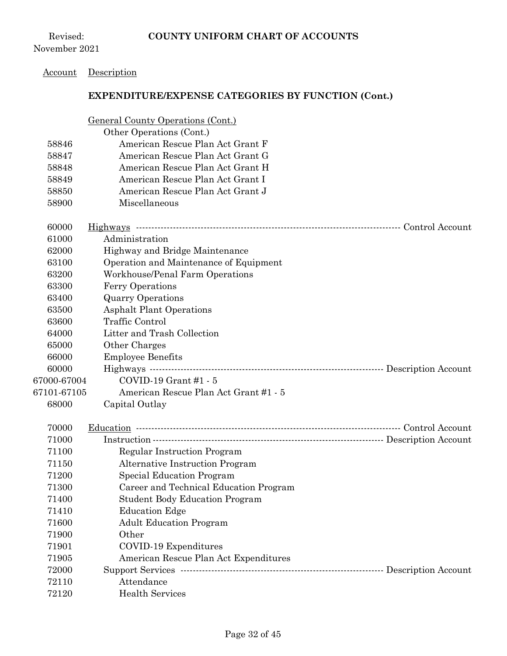## Account Description

|             | General County Operations (Cont.)                            |  |
|-------------|--------------------------------------------------------------|--|
|             | Other Operations (Cont.)                                     |  |
| 58846       | American Rescue Plan Act Grant F                             |  |
| 58847       | American Rescue Plan Act Grant G                             |  |
| 58848       | American Rescue Plan Act Grant H                             |  |
| 58849       | American Rescue Plan Act Grant I                             |  |
| 58850       | American Rescue Plan Act Grant J                             |  |
| 58900       | Miscellaneous                                                |  |
| 60000       |                                                              |  |
| 61000       | Administration                                               |  |
| 62000       | Highway and Bridge Maintenance                               |  |
| 63100       | Operation and Maintenance of Equipment                       |  |
| 63200       | Workhouse/Penal Farm Operations                              |  |
| 63300       | <b>Ferry Operations</b>                                      |  |
| 63400       | <b>Quarry Operations</b>                                     |  |
| 63500       | <b>Asphalt Plant Operations</b>                              |  |
| 63600       | Traffic Control                                              |  |
| 64000       | Litter and Trash Collection                                  |  |
| 65000       | Other Charges                                                |  |
| 66000       | <b>Employee Benefits</b>                                     |  |
| 60000       | Highways ………………………………………………………………………………… Description Account |  |
| 67000-67004 | $COVID-19$ Grant #1 - 5                                      |  |
| 67101-67105 | American Rescue Plan Act Grant #1 - 5                        |  |
| 68000       | Capital Outlay                                               |  |
| 70000       |                                                              |  |
| 71000       |                                                              |  |
| 71100       | <b>Regular Instruction Program</b>                           |  |
| 71150       | <b>Alternative Instruction Program</b>                       |  |
| 71200       | Special Education Program                                    |  |
| 71300       | Career and Technical Education Program                       |  |
| 71400       | <b>Student Body Education Program</b>                        |  |
| 71410       | <b>Education Edge</b>                                        |  |
| 71600       | <b>Adult Education Program</b>                               |  |
| 71900       | Other                                                        |  |
| 71901       | COVID-19 Expenditures                                        |  |
| 71905       | American Rescue Plan Act Expenditures                        |  |
| 72000       |                                                              |  |
| 72110       | Attendance                                                   |  |
| 72120       | <b>Health Services</b>                                       |  |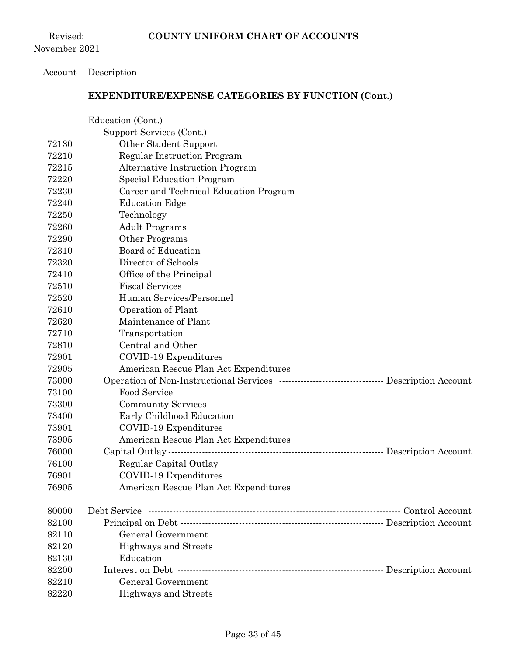#### Account Description

|       | Education (Cont.)                                                             |
|-------|-------------------------------------------------------------------------------|
|       | Support Services (Cont.)                                                      |
| 72130 | Other Student Support                                                         |
| 72210 | <b>Regular Instruction Program</b>                                            |
| 72215 | <b>Alternative Instruction Program</b>                                        |
| 72220 | <b>Special Education Program</b>                                              |
| 72230 | Career and Technical Education Program                                        |
| 72240 | <b>Education Edge</b>                                                         |
| 72250 | Technology                                                                    |
| 72260 | <b>Adult Programs</b>                                                         |
| 72290 | Other Programs                                                                |
| 72310 | <b>Board of Education</b>                                                     |
| 72320 | Director of Schools                                                           |
| 72410 | Office of the Principal                                                       |
| 72510 | <b>Fiscal Services</b>                                                        |
| 72520 | Human Services/Personnel                                                      |
| 72610 | Operation of Plant                                                            |
| 72620 | Maintenance of Plant                                                          |
| 72710 | Transportation                                                                |
| 72810 | Central and Other                                                             |
| 72901 | COVID-19 Expenditures                                                         |
| 72905 | American Rescue Plan Act Expenditures                                         |
| 73000 | Operation of Non-Instructional Services …………………………………………… Description Account |
| 73100 | Food Service                                                                  |
| 73300 | <b>Community Services</b>                                                     |
| 73400 | Early Childhood Education                                                     |
| 73901 | COVID-19 Expenditures                                                         |
| 73905 | American Rescue Plan Act Expenditures                                         |
| 76000 |                                                                               |
| 76100 | Regular Capital Outlay                                                        |
| 76901 | COVID-19 Expenditures                                                         |
| 76905 | American Rescue Plan Act Expenditures                                         |
| 80000 |                                                                               |
| 82100 |                                                                               |
| 82110 | General Government                                                            |
| 82120 | Highways and Streets                                                          |
| 82130 | Education                                                                     |
| 82200 |                                                                               |
| 82210 | <b>General Government</b>                                                     |
| 82220 | Highways and Streets                                                          |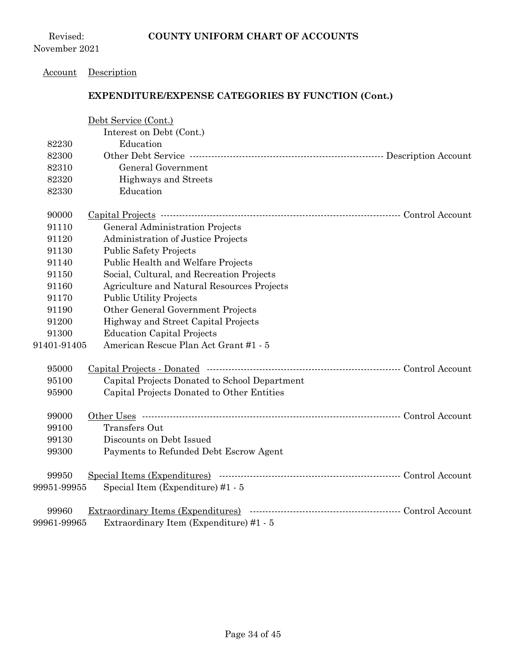Revised: November 2021

#### Account Description

|             | Debt Service (Cont.)                          |  |
|-------------|-----------------------------------------------|--|
|             | Interest on Debt (Cont.)                      |  |
| 82230       | Education                                     |  |
| 82300       |                                               |  |
| 82310       | General Government                            |  |
| 82320       | Highways and Streets                          |  |
| 82330       | Education                                     |  |
| 90000       |                                               |  |
| 91110       | General Administration Projects               |  |
| 91120       | Administration of Justice Projects            |  |
| 91130       | <b>Public Safety Projects</b>                 |  |
| 91140       | Public Health and Welfare Projects            |  |
| 91150       | Social, Cultural, and Recreation Projects     |  |
| 91160       | Agriculture and Natural Resources Projects    |  |
| 91170       | <b>Public Utility Projects</b>                |  |
| 91190       | Other General Government Projects             |  |
| 91200       | Highway and Street Capital Projects           |  |
| 91300       | <b>Education Capital Projects</b>             |  |
| 91401-91405 | American Rescue Plan Act Grant #1 - 5         |  |
| 95000       |                                               |  |
| 95100       | Capital Projects Donated to School Department |  |
| 95900       | Capital Projects Donated to Other Entities    |  |
| 99000       |                                               |  |
| 99100       | <b>Transfers Out</b>                          |  |
| 99130       | Discounts on Debt Issued                      |  |
| 99300       | Payments to Refunded Debt Escrow Agent        |  |
| 99950       |                                               |  |
| 99951-99955 | Special Item (Expenditure) #1 - 5             |  |
| 99960       | Extraordinary Items (Expenditures)            |  |
| 99961-99965 | Extraordinary Item (Expenditure) #1 - 5       |  |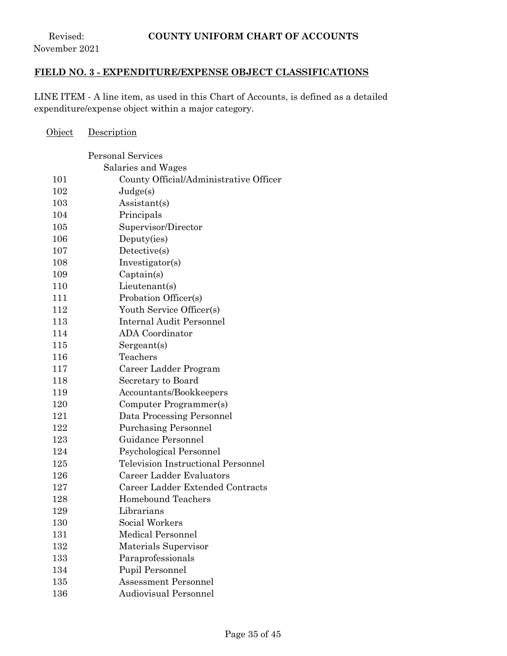Revised: November 2021

## **FIELD NO. 3 - EXPENDITURE/EXPENSE OBJECT CLASSIFICATIONS**

LINE ITEM - A line item, as used in this Chart of Accounts, is defined as a detailed expenditure/expense object within a major category.

| <u>Object</u> | <u>Description</u>                        |
|---------------|-------------------------------------------|
|               | <b>Personal Services</b>                  |
|               | Salaries and Wages                        |
| 101           | County Official/Administrative Officer    |
| 102           | Judge(s)                                  |
| 103           | Assistant(s)                              |
| 104           | Principals                                |
| 105           | Supervisor/Director                       |
| 106           | Deputy(ies)                               |
| 107           | Detective(s)                              |
| 108           | Investigator(s)                           |
| 109           | Captain(s)                                |
| 110           | Lieutenant(s)                             |
| 111           | Probation Officer(s)                      |
| 112           | Youth Service Officer(s)                  |
| 113           | <b>Internal Audit Personnel</b>           |
| 114           | <b>ADA</b> Coordinator                    |
| 115           | Sergeant(s)                               |
| 116           | Teachers                                  |
| 117           | Career Ladder Program                     |
| 118           | Secretary to Board                        |
| 119           | Accountants/Bookkeepers                   |
| 120           | Computer Programmer(s)                    |
| 121           | Data Processing Personnel                 |
| 122           | <b>Purchasing Personnel</b>               |
| 123           | Guidance Personnel                        |
| 124           | Psychological Personnel                   |
| 125           | <b>Television Instructional Personnel</b> |
| 126           | Career Ladder Evaluators                  |
| 127           | Career Ladder Extended Contracts          |
| 128           | <b>Homebound Teachers</b>                 |
| 129           | Librarians                                |
| 130           | Social Workers                            |
| 131           | <b>Medical Personnel</b>                  |
| 132           | Materials Supervisor                      |
| 133           | Paraprofessionals                         |
| 134           | Pupil Personnel                           |
| 135           | Assessment Personnel                      |
| 136           | <b>Audiovisual Personnel</b>              |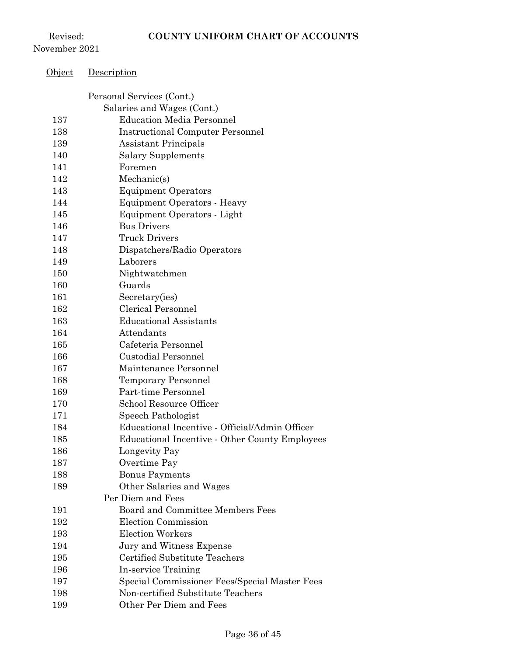Revised: November 2021

Object Description

|     | Personal Services (Cont.)                             |
|-----|-------------------------------------------------------|
|     | Salaries and Wages (Cont.)                            |
| 137 | <b>Education Media Personnel</b>                      |
| 138 | <b>Instructional Computer Personnel</b>               |
| 139 | <b>Assistant Principals</b>                           |
| 140 | <b>Salary Supplements</b>                             |
| 141 | Foremen                                               |
| 142 | Mechanic(s)                                           |
| 143 | <b>Equipment Operators</b>                            |
| 144 | <b>Equipment Operators - Heavy</b>                    |
| 145 | Equipment Operators - Light                           |
| 146 | <b>Bus Drivers</b>                                    |
| 147 | <b>Truck Drivers</b>                                  |
| 148 | Dispatchers/Radio Operators                           |
| 149 | Laborers                                              |
| 150 | Nightwatchmen                                         |
| 160 | Guards                                                |
| 161 | Secretary(ies)                                        |
| 162 | Clerical Personnel                                    |
| 163 | <b>Educational Assistants</b>                         |
| 164 | Attendants                                            |
| 165 | Cafeteria Personnel                                   |
| 166 | <b>Custodial Personnel</b>                            |
| 167 | Maintenance Personnel                                 |
| 168 | <b>Temporary Personnel</b>                            |
| 169 | Part-time Personnel                                   |
| 170 | <b>School Resource Officer</b>                        |
| 171 | Speech Pathologist                                    |
| 184 | Educational Incentive - Official/Admin Officer        |
| 185 | <b>Educational Incentive - Other County Employees</b> |
| 186 | Longevity Pay                                         |
| 187 | Overtime Pay                                          |
| 188 | <b>Bonus Payments</b>                                 |
| 189 | Other Salaries and Wages                              |
|     | Per Diem and Fees                                     |
| 191 | Board and Committee Members Fees                      |
| 192 | Election Commission                                   |
| 193 | <b>Election Workers</b>                               |
| 194 | Jury and Witness Expense                              |
| 195 | Certified Substitute Teachers                         |
| 196 | In-service Training                                   |
| 197 | Special Commissioner Fees/Special Master Fees         |
| 198 | Non-certified Substitute Teachers                     |
| 199 | Other Per Diem and Fees                               |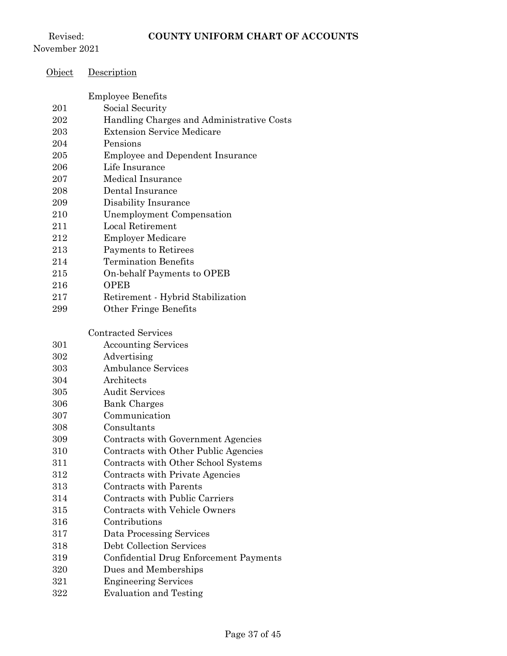Revised: November 2021

Object Description

|     | <b>Employee Benefits</b>                  |
|-----|-------------------------------------------|
| 201 | Social Security                           |
| 202 | Handling Charges and Administrative Costs |
| 203 | <b>Extension Service Medicare</b>         |
| 204 | Pensions                                  |
| 205 | Employee and Dependent Insurance          |
| 206 | Life Insurance                            |
| 207 | <b>Medical Insurance</b>                  |
| 208 | Dental Insurance                          |
| 209 | Disability Insurance                      |
| 210 | Unemployment Compensation                 |
| 211 | Local Retirement                          |
| 212 | <b>Employer Medicare</b>                  |
| 213 | Payments to Retirees                      |
| 214 | <b>Termination Benefits</b>               |
| 215 | On-behalf Payments to OPEB                |
| 216 | <b>OPEB</b>                               |
| 217 | Retirement - Hybrid Stabilization         |
| 299 | Other Fringe Benefits                     |
|     |                                           |
|     | <b>Contracted Services</b>                |
| 301 | <b>Accounting Services</b>                |
| 302 | Advertising                               |
| 303 | <b>Ambulance Services</b>                 |
| 304 | Architects                                |
| 305 | <b>Audit Services</b>                     |
| 306 | <b>Bank Charges</b>                       |
| 307 | Communication                             |
| 308 | Consultants                               |
| 309 | Contracts with Government Agencies        |
| 310 | Contracts with Other Public Agencies      |
| 311 | Contracts with Other School Systems       |
| 312 | Contracts with Private Agencies           |
| 313 | <b>Contracts with Parents</b>             |
| 314 | Contracts with Public Carriers            |
| 315 | <b>Contracts with Vehicle Owners</b>      |
| 316 | Contributions                             |
| 317 | Data Processing Services                  |
| 318 | Debt Collection Services                  |
| 319 | Confidential Drug Enforcement Payments    |
| 320 | Dues and Memberships                      |
| 321 | <b>Engineering Services</b>               |
| 322 | <b>Evaluation and Testing</b>             |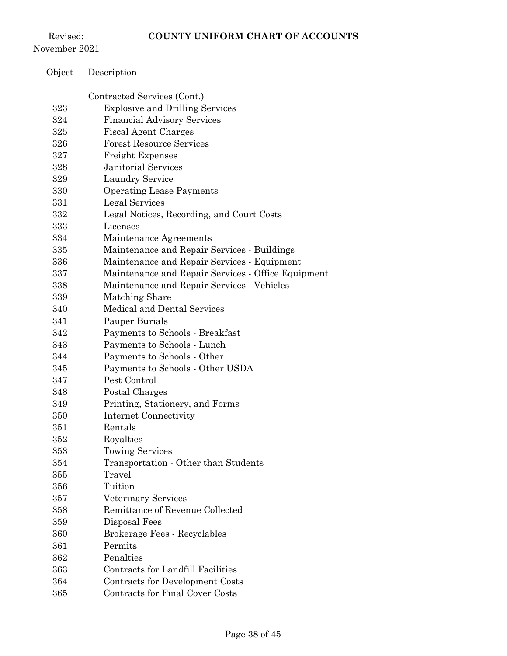Revised: November 2021

Object Description

## Contracted Services (Cont.) Explosive and Drilling Services Financial Advisory Services Fiscal Agent Charges Forest Resource Services Freight Expenses Janitorial Services Laundry Service Operating Lease Payments Legal Services Legal Notices, Recording, and Court Costs Licenses Maintenance Agreements Maintenance and Repair Services - Buildings Maintenance and Repair Services - Equipment Maintenance and Repair Services - Office Equipment Maintenance and Repair Services - Vehicles Matching Share Medical and Dental Services Pauper Burials Payments to Schools - Breakfast Payments to Schools - Lunch Payments to Schools - Other Payments to Schools - Other USDA Pest Control Postal Charges Printing, Stationery, and Forms Internet Connectivity Rentals Royalties Towing Services Transportation - Other than Students Travel Tuition Veterinary Services Remittance of Revenue Collected Disposal Fees Brokerage Fees - Recyclables Permits Penalties Contracts for Landfill Facilities Contracts for Development Costs Contracts for Final Cover Costs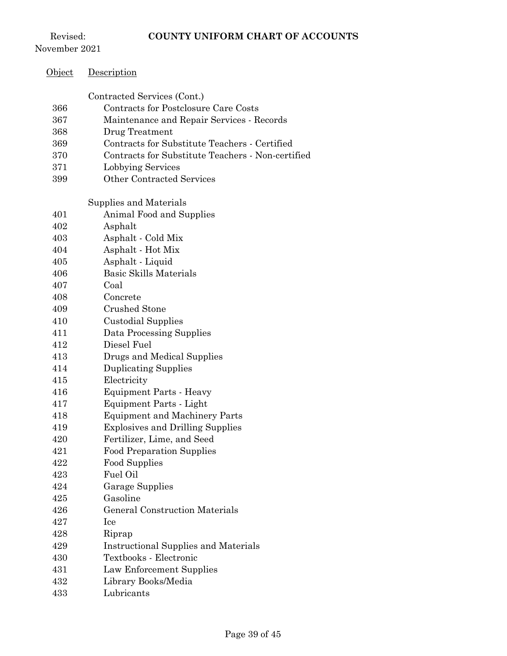Revised: November 2021

| <u>Object</u> | <u>Description</u>                                |
|---------------|---------------------------------------------------|
|               | Contracted Services (Cont.)                       |
| 366           | Contracts for Postclosure Care Costs              |
| 367           | Maintenance and Repair Services - Records         |
| 368           | Drug Treatment                                    |
| 369           | Contracts for Substitute Teachers - Certified     |
| 370           | Contracts for Substitute Teachers - Non-certified |
| 371           | Lobbying Services                                 |
| 399           | <b>Other Contracted Services</b>                  |
|               | Supplies and Materials                            |
| 401           | Animal Food and Supplies                          |
| 402           | Asphalt                                           |
| 403           | Asphalt - Cold Mix                                |
| 404           | Asphalt - Hot Mix                                 |
| 405           | Asphalt - Liquid                                  |
| 406           | <b>Basic Skills Materials</b>                     |
| 407           | Coal                                              |
| 408           | Concrete                                          |
| 409           | <b>Crushed Stone</b>                              |
| 410           | <b>Custodial Supplies</b>                         |
| 411           | Data Processing Supplies                          |
| 412           | Diesel Fuel                                       |
| 413           | Drugs and Medical Supplies                        |
| 414           | <b>Duplicating Supplies</b>                       |
| 415           | Electricity                                       |
| 416           | <b>Equipment Parts - Heavy</b>                    |
| 417           | Equipment Parts - Light                           |
| 418           | <b>Equipment and Machinery Parts</b>              |
| 419           | <b>Explosives and Drilling Supplies</b>           |
| 420           | Fertilizer, Lime, and Seed                        |
| 421           | <b>Food Preparation Supplies</b>                  |
| 422           | Food Supplies                                     |
| 423           | Fuel Oil                                          |
| 424           | <b>Garage Supplies</b>                            |
| 425           | Gasoline                                          |
| 426           | <b>General Construction Materials</b>             |
| 427           | Ice                                               |
| 428           | Riprap                                            |
| 429           | <b>Instructional Supplies and Materials</b>       |
| 430           | Textbooks - Electronic                            |
| 431           | Law Enforcement Supplies                          |
| 432           | Library Books/Media                               |
| 433           | Lubricants                                        |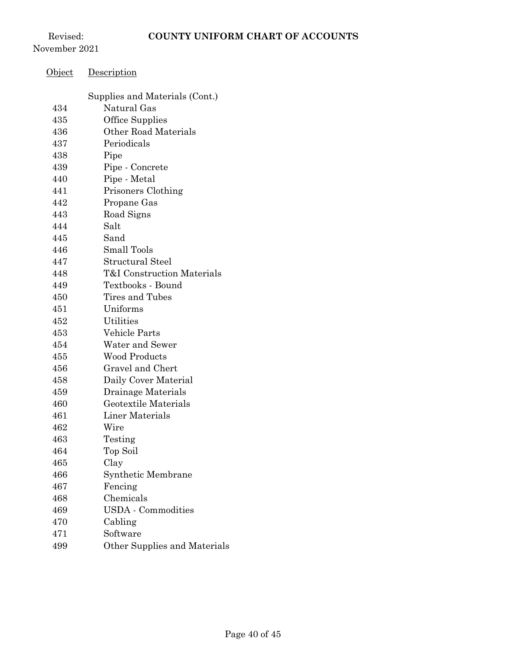Revised: November 2021

| <u>Object</u> | <u>Description</u>                            |
|---------------|-----------------------------------------------|
|               |                                               |
| 434           | Supplies and Materials (Cont.)<br>Natural Gas |
| 435           | <b>Office Supplies</b>                        |
|               | <b>Other Road Materials</b>                   |
| 436           |                                               |
| 437           | Periodicals                                   |
| 438           | Pipe                                          |
| 439           | Pipe - Concrete                               |
| 440           | Pipe - Metal                                  |
| 441           | Prisoners Clothing                            |
| 442           | Propane Gas                                   |
| 443           | Road Signs                                    |
| 444           | Salt                                          |
| 445           | Sand                                          |
| 446           | <b>Small Tools</b>                            |
| 447           | <b>Structural Steel</b>                       |
| 448           | <b>T&amp;I</b> Construction Materials         |
| 449           | Textbooks - Bound                             |
| 450           | Tires and Tubes                               |
| 451           | Uniforms                                      |
| 452           | Utilities                                     |
| 453           | Vehicle Parts                                 |
| 454           | Water and Sewer                               |
| 455           | <b>Wood Products</b>                          |
| 456           | Gravel and Chert                              |
| 458           | Daily Cover Material                          |
| 459           | Drainage Materials                            |
| 460           | Geotextile Materials                          |
| 461           | Liner Materials                               |
| 462           | Wire                                          |
| 463           | Testing                                       |
| 464           | Top Soil                                      |
| 465           | Clay                                          |
| 466           | Synthetic Membrane                            |
| 467           | Fencing                                       |
| 468           | Chemicals                                     |
| 469           | <b>USDA</b> - Commodities                     |
| 470           | Cabling                                       |
| 471           | Software                                      |
| 499           | Other Supplies and Materials                  |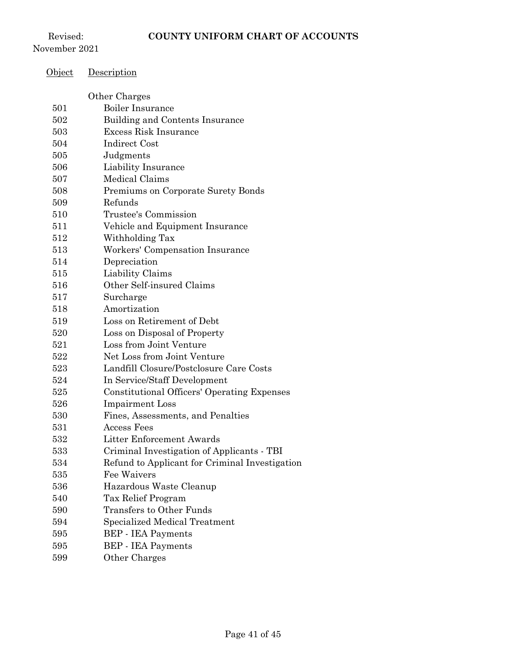Revised: November 2021

# Object Description

|     | Other Charges                                      |
|-----|----------------------------------------------------|
| 501 | <b>Boiler Insurance</b>                            |
| 502 | Building and Contents Insurance                    |
| 503 | Excess Risk Insurance                              |
| 504 | <b>Indirect Cost</b>                               |
| 505 | Judgments                                          |
| 506 | Liability Insurance                                |
| 507 | Medical Claims                                     |
| 508 | Premiums on Corporate Surety Bonds                 |
| 509 | Refunds                                            |
| 510 | <b>Trustee's Commission</b>                        |
| 511 | Vehicle and Equipment Insurance                    |
| 512 | Withholding Tax                                    |
| 513 | Workers' Compensation Insurance                    |
| 514 | Depreciation                                       |
| 515 | Liability Claims                                   |
| 516 | Other Self-insured Claims                          |
| 517 | Surcharge                                          |
| 518 | Amortization                                       |
| 519 | Loss on Retirement of Debt                         |
| 520 | Loss on Disposal of Property                       |
| 521 | Loss from Joint Venture                            |
| 522 | Net Loss from Joint Venture                        |
| 523 | Landfill Closure/Postclosure Care Costs            |
| 524 | In Service/Staff Development                       |
| 525 | <b>Constitutional Officers' Operating Expenses</b> |
| 526 | <b>Impairment</b> Loss                             |
| 530 | Fines, Assessments, and Penalties                  |
| 531 | <b>Access Fees</b>                                 |
| 532 | Litter Enforcement Awards                          |
| 533 | Criminal Investigation of Applicants - TBI         |
| 534 | Refund to Applicant for Criminal Investigation     |
| 535 | Fee Waivers                                        |
| 536 | Hazardous Waste Cleanup                            |
| 540 | Tax Relief Program                                 |
| 590 | <b>Transfers to Other Funds</b>                    |
| 594 | Specialized Medical Treatment                      |
| 595 | <b>BEP</b> - IEA Payments                          |
| 595 | <b>BEP</b> - IEA Payments                          |
| 599 | Other Charges                                      |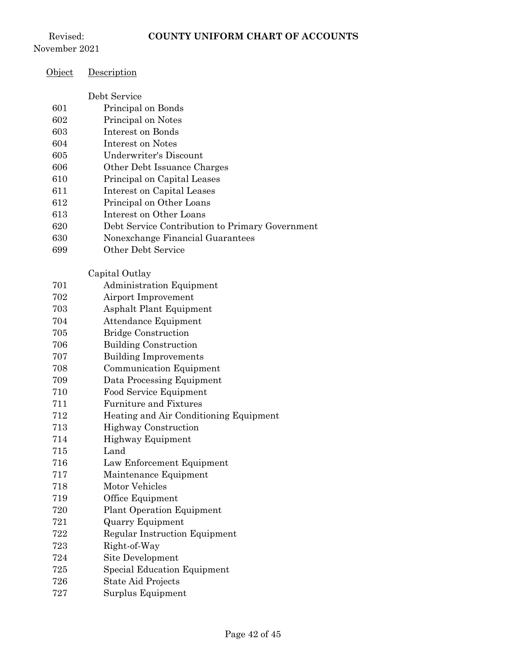Revised:

| November 2021 |                                                 |
|---------------|-------------------------------------------------|
| <u>Object</u> | Description                                     |
|               | Debt Service                                    |
| 601           | Principal on Bonds                              |
| 602           | Principal on Notes                              |
| 603           | Interest on Bonds                               |
| 604           | Interest on Notes                               |
| 605           | <b>Underwriter's Discount</b>                   |
| 606           | Other Debt Issuance Charges                     |
| 610           | Principal on Capital Leases                     |
| 611           | Interest on Capital Leases                      |
| 612           | Principal on Other Loans                        |
| 613           | Interest on Other Loans                         |
| 620           | Debt Service Contribution to Primary Government |
| 630           | Nonexchange Financial Guarantees                |
| 699           | <b>Other Debt Service</b>                       |
|               | Capital Outlay                                  |
| 701           | Administration Equipment                        |
| 702           | Airport Improvement                             |
| 703           | Asphalt Plant Equipment                         |
| 704           | Attendance Equipment                            |
| 705           | <b>Bridge Construction</b>                      |
| 706           | <b>Building Construction</b>                    |
| 707           | <b>Building Improvements</b>                    |
| 708           | Communication Equipment                         |
| 709           | Data Processing Equipment                       |
| 710           | Food Service Equipment                          |
| 711           | <b>Furniture and Fixtures</b>                   |
| 712           | Heating and Air Conditioning Equipment          |
| 713           | <b>Highway Construction</b>                     |
| 714           | Highway Equipment                               |
| 715           | Land                                            |
| 716           | Law Enforcement Equipment                       |
| 717           | Maintenance Equipment<br>Motor Vehicles         |
| 718           |                                                 |
| 719           | Office Equipment                                |
| 720<br>721    | <b>Plant Operation Equipment</b>                |
| 722           | <b>Quarry Equipment</b>                         |
|               | <b>Regular Instruction Equipment</b>            |
| 723<br>724    | Right-of-Way<br>Site Development                |
| 725           | <b>Special Education Equipment</b>              |
| 726           | State Aid Projects                              |
| 727           | Surplus Equipment                               |
|               |                                                 |
|               |                                                 |
|               | Page $42$ of $45$                               |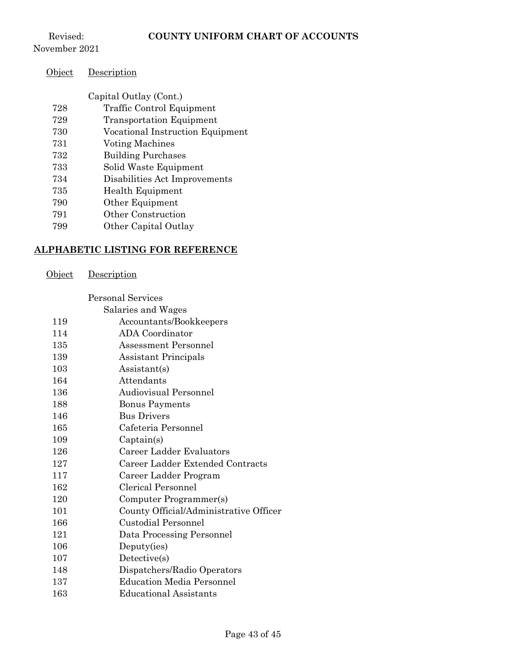Revised: November 2021

| Object | Description |
|--------|-------------|
|--------|-------------|

| Capital Outlay (Cont.) |  |
|------------------------|--|
|------------------------|--|

- Traffic Control Equipment
- Transportation Equipment
- Vocational Instruction Equipment
- Voting Machines
- Building Purchases
- Solid Waste Equipment
- Disabilities Act Improvements
- Health Equipment
- Other Equipment
- Other Construction
- Other Capital Outlay

#### **ALPHABETIC LISTING FOR REFERENCE**

Object Description

Personal Services

| 119 | Accountants/Bookkeepers                |
|-----|----------------------------------------|
| 114 | <b>ADA</b> Coordinator                 |
| 135 | Assessment Personnel                   |
| 139 | <b>Assistant Principals</b>            |
| 103 | Assistant(s)                           |
| 164 | Attendants                             |
| 136 | Audiovisual Personnel                  |
| 188 | <b>Bonus Payments</b>                  |
| 146 | <b>Bus Drivers</b>                     |
| 165 | Cafeteria Personnel                    |
| 109 | Captain(s)                             |
| 126 | Career Ladder Evaluators               |
| 127 | Career Ladder Extended Contracts       |
| 117 | Career Ladder Program                  |
| 162 | Clerical Personnel                     |
| 120 | Computer Programmer(s)                 |
| 101 | County Official/Administrative Officer |
| 166 | Custodial Personnel                    |
| 121 | Data Processing Personnel              |
| 106 | Deputy(ies)                            |
| 107 | Detective(s)                           |
| 148 | Dispatchers/Radio Operators            |
| 137 | <b>Education Media Personnel</b>       |
| 163 | <b>Educational Assistants</b>          |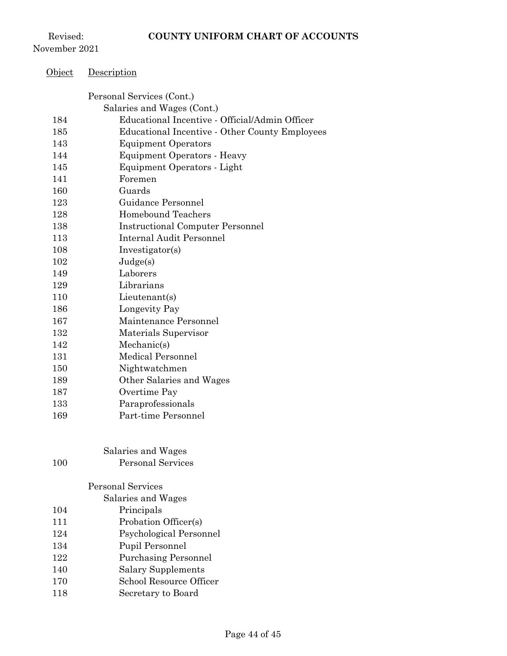Revised: November 2021

| Object | <u>Description</u>                             |
|--------|------------------------------------------------|
|        | Personal Services (Cont.)                      |
|        | Salaries and Wages (Cont.)                     |
| 184    | Educational Incentive - Official/Admin Officer |
| 185    | Educational Incentive - Other County Employees |
| 143    | <b>Equipment Operators</b>                     |
| 144    | Equipment Operators - Heavy                    |
| 145    | Equipment Operators - Light                    |
| 141    | Foremen                                        |
| 160    | Guards                                         |
| 123    | Guidance Personnel                             |
| 128    | <b>Homebound Teachers</b>                      |
| 138    | <b>Instructional Computer Personnel</b>        |
| 113    | <b>Internal Audit Personnel</b>                |
| 108    | Investigator(s)                                |
| 102    | Judge(s)                                       |
| 149    | Laborers                                       |
| 129    | Librarians                                     |
| 110    | Lieutenant(s)                                  |
| 186    | Longevity Pay                                  |
| 167    | Maintenance Personnel                          |
| 132    | Materials Supervisor                           |
| 142    | Mechanic(s)                                    |
| 131    | <b>Medical Personnel</b>                       |
| 150    | Nightwatchmen                                  |
| 189    | Other Salaries and Wages                       |
| 187    | Overtime Pay                                   |
| 133    | Paraprofessionals                              |
| 169    | Part-time Personnel                            |
|        | Salaries and Wages                             |
| 100    | <b>Personal Services</b>                       |
|        | Personal Services                              |
|        | Salaries and Wages                             |
| 104    | Principals                                     |
| 111    | Probation Officer(s)                           |
| 124    | Psychological Personnel                        |
| 134    | Pupil Personnel                                |
| 122    | <b>Purchasing Personnel</b>                    |
| 140    | <b>Salary Supplements</b>                      |
| 170    | School Resource Officer                        |
| 118    | Secretary to Board                             |